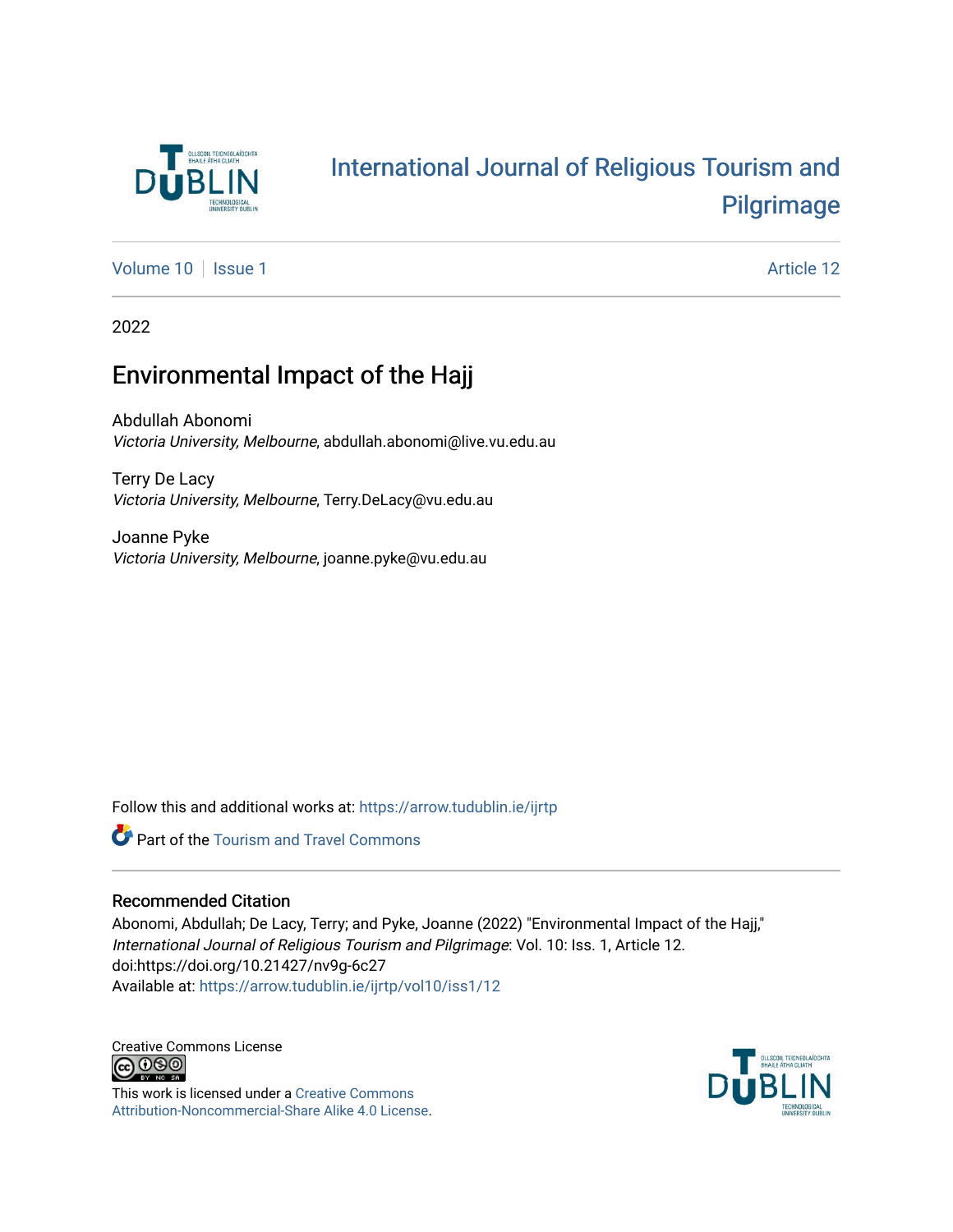

## [International Journal of Religious Tourism and](https://arrow.tudublin.ie/ijrtp)  [Pilgrimage](https://arrow.tudublin.ie/ijrtp)

[Volume 10](https://arrow.tudublin.ie/ijrtp/vol10) | [Issue 1](https://arrow.tudublin.ie/ijrtp/vol10/iss1) Article 12

2022

## Environmental Impact of the Hajj

Abdullah Abonomi Victoria University, Melbourne, abdullah.abonomi@live.vu.edu.au

Terry De Lacy Victoria University, Melbourne, Terry.DeLacy@vu.edu.au

Joanne Pyke Victoria University, Melbourne, joanne.pyke@vu.edu.au

Follow this and additional works at: [https://arrow.tudublin.ie/ijrtp](https://arrow.tudublin.ie/ijrtp?utm_source=arrow.tudublin.ie%2Fijrtp%2Fvol10%2Fiss1%2F12&utm_medium=PDF&utm_campaign=PDFCoverPages)

**Part of the [Tourism and Travel Commons](https://network.bepress.com/hgg/discipline/1082?utm_source=arrow.tudublin.ie%2Fijrtp%2Fvol10%2Fiss1%2F12&utm_medium=PDF&utm_campaign=PDFCoverPages)** 

#### Recommended Citation

Abonomi, Abdullah; De Lacy, Terry; and Pyke, Joanne (2022) "Environmental Impact of the Hajj," International Journal of Religious Tourism and Pilgrimage: Vol. 10: Iss. 1, Article 12. doi:https://doi.org/10.21427/nv9g-6c27 Available at: [https://arrow.tudublin.ie/ijrtp/vol10/iss1/12](https://arrow.tudublin.ie/ijrtp/vol10/iss1/12?utm_source=arrow.tudublin.ie%2Fijrtp%2Fvol10%2Fiss1%2F12&utm_medium=PDF&utm_campaign=PDFCoverPages) 

Creative Commons License<br>  $\bigcirc$  000

This work is licensed under a [Creative Commons](https://creativecommons.org/licenses/by-nc-sa/4.0/) [Attribution-Noncommercial-Share Alike 4.0 License](https://creativecommons.org/licenses/by-nc-sa/4.0/).

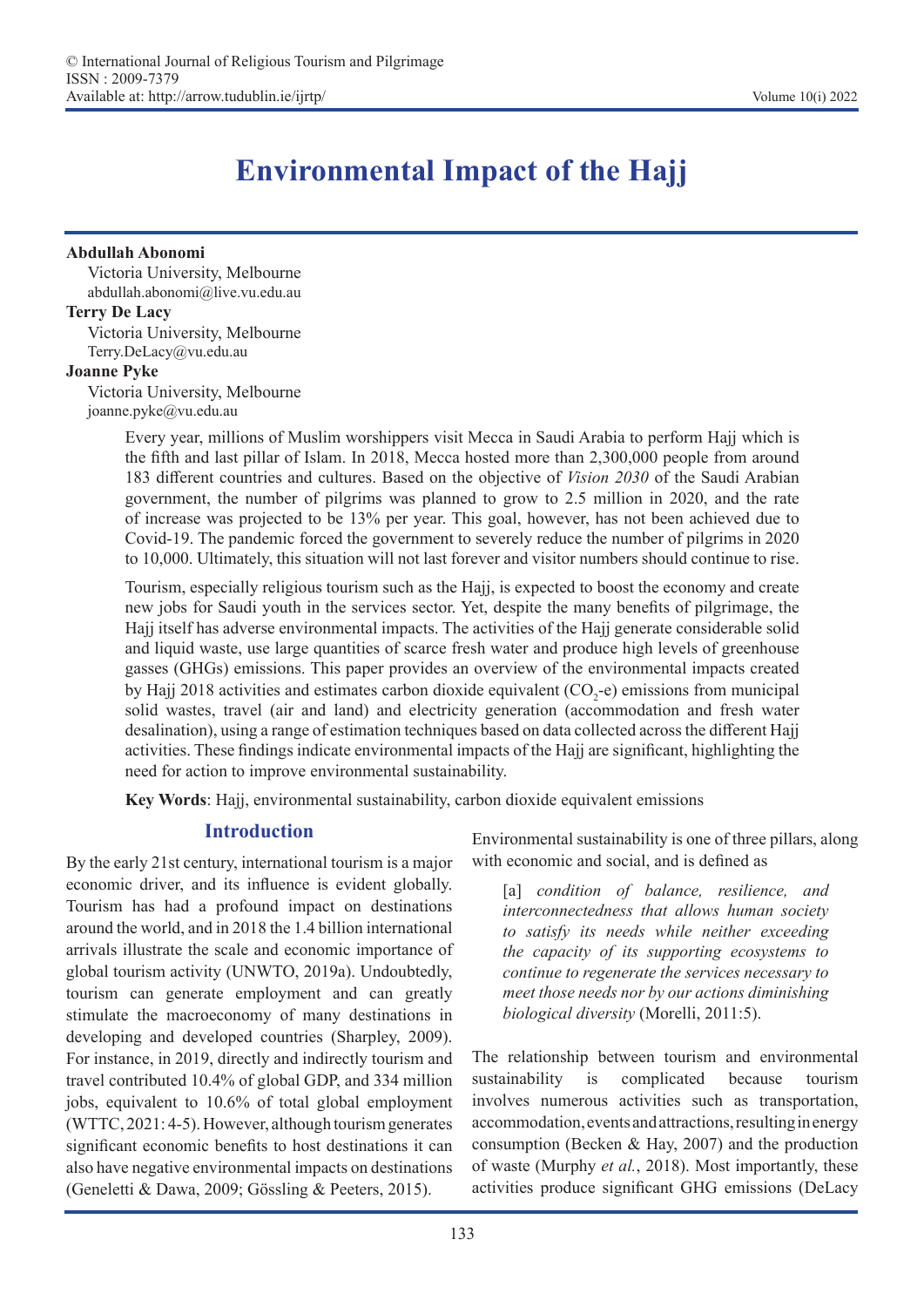# **Environmental Impact of the Hajj**

#### **Abdullah Abonomi**

Victoria University, Melbourne abdullah.abonomi@live.vu.edu.au

#### **Terry De Lacy**

Victoria University, Melbourne Terry.DeLacy@vu.edu.au

#### **Joanne Pyke**

Victoria University, Melbourne joanne.pyke@vu.edu.au

> Every year, millions of Muslim worshippers visit Mecca in Saudi Arabia to perform Hajj which is the fifth and last pillar of Islam. In 2018, Mecca hosted more than 2,300,000 people from around 183 different countries and cultures. Based on the objective of *Vision 2030* of the Saudi Arabian government, the number of pilgrims was planned to grow to 2.5 million in 2020, and the rate of increase was projected to be 13% per year. This goal, however, has not been achieved due to Covid-19. The pandemic forced the government to severely reduce the number of pilgrims in 2020 to 10,000. Ultimately, this situation will not last forever and visitor numbers should continue to rise.

> Tourism, especially religious tourism such as the Hajj, is expected to boost the economy and create new jobs for Saudi youth in the services sector. Yet, despite the many benefits of pilgrimage, the Hajj itself has adverse environmental impacts. The activities of the Hajj generate considerable solid and liquid waste, use large quantities of scarce fresh water and produce high levels of greenhouse gasses (GHGs) emissions. This paper provides an overview of the environmental impacts created by Hajj 2018 activities and estimates carbon dioxide equivalent  $(CO<sub>2</sub>-e)$  emissions from municipal solid wastes, travel (air and land) and electricity generation (accommodation and fresh water desalination), using a range of estimation techniques based on data collected across the different Hajj activities. These findings indicate environmental impacts of the Hajj are significant, highlighting the need for action to improve environmental sustainability.

**Key Words**: Hajj, environmental sustainability, carbon dioxide equivalent emissions

## **Introduction**

By the early 21st century, international tourism is a major economic driver, and its influence is evident globally. Tourism has had a profound impact on destinations around the world, and in 2018 the 1.4 billion international arrivals illustrate the scale and economic importance of global tourism activity (UNWTO, 2019a). Undoubtedly, tourism can generate employment and can greatly stimulate the macroeconomy of many destinations in developing and developed countries (Sharpley, 2009). For instance, in 2019, directly and indirectly tourism and travel contributed 10.4% of global GDP, and 334 million jobs, equivalent to 10.6% of total global employment (WTTC, 2021: 4-5). However, although tourism generates significant economic benefits to host destinations it can also have negative environmental impacts on destinations (Geneletti & Dawa, 2009; Gössling & Peeters, 2015).

Environmental sustainability is one of three pillars, along with economic and social, and is defined as

[a] *condition of balance, resilience, and interconnectedness that allows human society to satisfy its needs while neither exceeding the capacity of its supporting ecosystems to continue to regenerate the services necessary to meet those needs nor by our actions diminishing biological diversity* (Morelli, 2011:5).

The relationship between tourism and environmental sustainability is complicated because tourism involves numerous activities such as transportation, accommodation, events and attractions, resulting in energy consumption (Becken & Hay, 2007) and the production of waste (Murphy *et al.*, 2018). Most importantly, these activities produce significant GHG emissions (DeLacy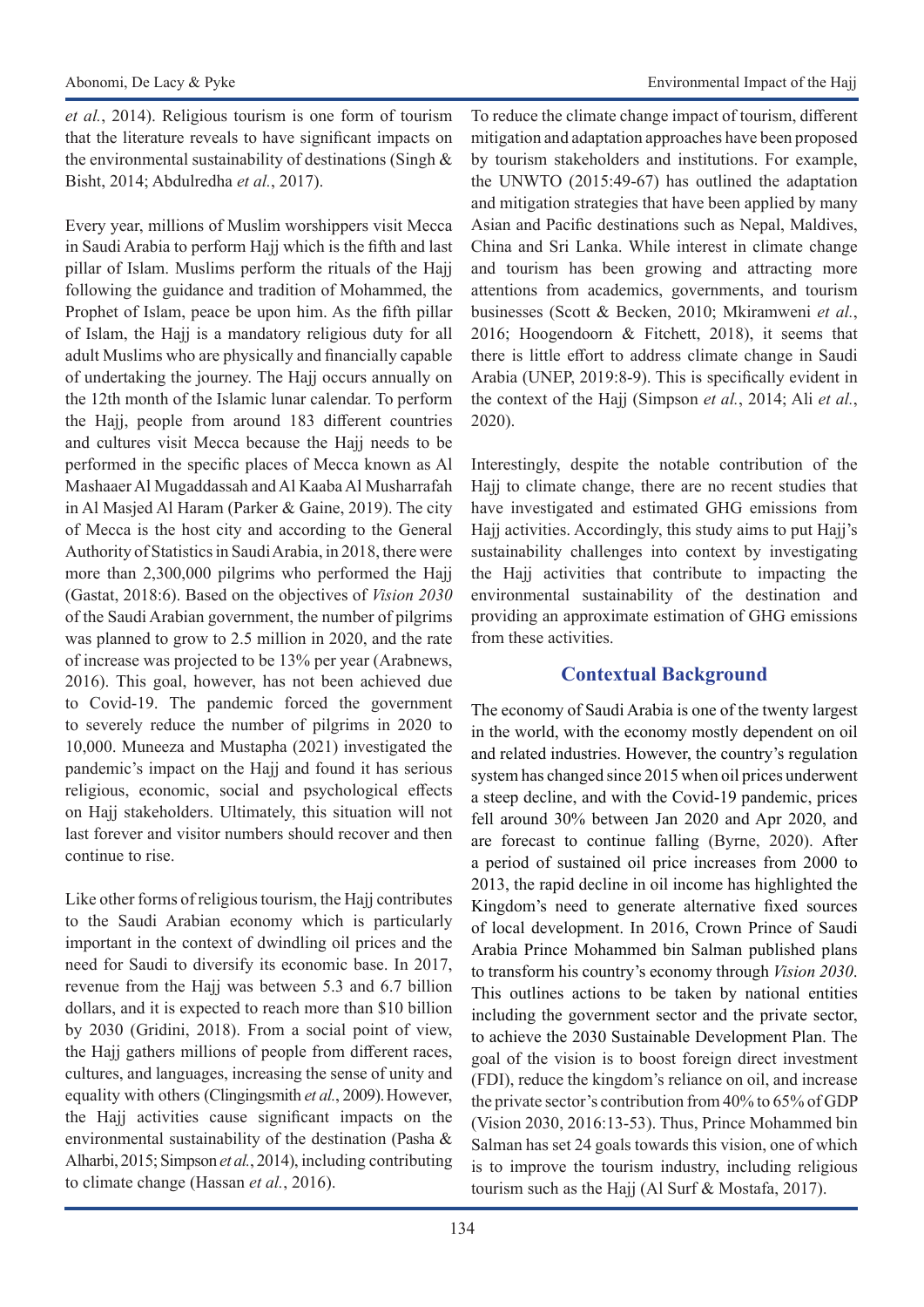*et al.*, 2014). Religious tourism is one form of tourism that the literature reveals to have significant impacts on the environmental sustainability of destinations (Singh & Bisht, 2014; Abdulredha *et al.*, 2017).

Every year, millions of Muslim worshippers visit Mecca in Saudi Arabia to perform Hajj which is the fifth and last pillar of Islam. Muslims perform the rituals of the Hajj following the guidance and tradition of Mohammed, the Prophet of Islam, peace be upon him. As the fifth pillar of Islam, the Hajj is a mandatory religious duty for all adult Muslims who are physically and financially capable of undertaking the journey. The Hajj occurs annually on the 12th month of the Islamic lunar calendar. To perform the Hajj, people from around 183 different countries and cultures visit Mecca because the Hajj needs to be performed in the specific places of Mecca known as Al Mashaaer Al Mugaddassah and Al Kaaba Al Musharrafah in Al Masjed Al Haram (Parker & Gaine, 2019). The city of Mecca is the host city and according to the General Authority of Statistics in Saudi Arabia, in 2018, there were more than 2,300,000 pilgrims who performed the Hajj (Gastat, 2018:6). Based on the objectives of *Vision 2030*  of the Saudi Arabian government, the number of pilgrims was planned to grow to 2.5 million in 2020, and the rate of increase was projected to be 13% per year (Arabnews, 2016). This goal, however, has not been achieved due to Covid-19. The pandemic forced the government to severely reduce the number of pilgrims in 2020 to 10,000. Muneeza and Mustapha (2021) investigated the pandemic's impact on the Hajj and found it has serious religious, economic, social and psychological effects on Hajj stakeholders. Ultimately, this situation will not last forever and visitor numbers should recover and then continue to rise.

Like other forms of religious tourism, the Hajj contributes to the Saudi Arabian economy which is particularly important in the context of dwindling oil prices and the need for Saudi to diversify its economic base. In 2017, revenue from the Hajj was between 5.3 and 6.7 billion dollars, and it is expected to reach more than \$10 billion by 2030 (Gridini, 2018). From a social point of view, the Hajj gathers millions of people from different races, cultures, and languages, increasing the sense of unity and equality with others (Clingingsmith *et al.*, 2009). However, the Hajj activities cause significant impacts on the environmental sustainability of the destination (Pasha & Alharbi, 2015; Simpson *et al.*, 2014), including contributing to climate change (Hassan *et al.*, 2016).

To reduce the climate change impact of tourism, different mitigation and adaptation approaches have been proposed by tourism stakeholders and institutions. For example, the UNWTO (2015:49-67) has outlined the adaptation and mitigation strategies that have been applied by many Asian and Pacific destinations such as Nepal, Maldives, China and Sri Lanka. While interest in climate change and tourism has been growing and attracting more attentions from academics, governments, and tourism businesses (Scott & Becken, 2010; Mkiramweni *et al.*, 2016; Hoogendoorn & Fitchett, 2018), it seems that there is little effort to address climate change in Saudi Arabia (UNEP, 2019:8-9). This is specifically evident in the context of the Hajj (Simpson *et al.*, 2014; Ali *et al.*, 2020).

Interestingly, despite the notable contribution of the Hajj to climate change, there are no recent studies that have investigated and estimated GHG emissions from Hajj activities. Accordingly, this study aims to put Hajj's sustainability challenges into context by investigating the Hajj activities that contribute to impacting the environmental sustainability of the destination and providing an approximate estimation of GHG emissions from these activities.

## **Contextual Background**

The economy of Saudi Arabia is one of the twenty largest in the world, with the economy mostly dependent on oil and related industries. However, the country's regulation system has changed since 2015 when oil prices underwent a steep decline, and with the Covid-19 pandemic, prices fell around 30% between Jan 2020 and Apr 2020, and are forecast to continue falling (Byrne, 2020). After a period of sustained oil price increases from 2000 to 2013, the rapid decline in oil income has highlighted the Kingdom's need to generate alternative fixed sources of local development. In 2016, Crown Prince of Saudi Arabia Prince Mohammed bin Salman published plans to transform his country's economy through *Vision 2030*. This outlines actions to be taken by national entities including the government sector and the private sector, to achieve the 2030 Sustainable Development Plan. The goal of the vision is to boost foreign direct investment (FDI), reduce the kingdom's reliance on oil, and increase the private sector's contribution from 40% to 65% of GDP (Vision 2030, 2016:13-53). Thus, Prince Mohammed bin Salman has set 24 goals towards this vision, one of which is to improve the tourism industry, including religious tourism such as the Hajj (Al Surf & Mostafa, 2017).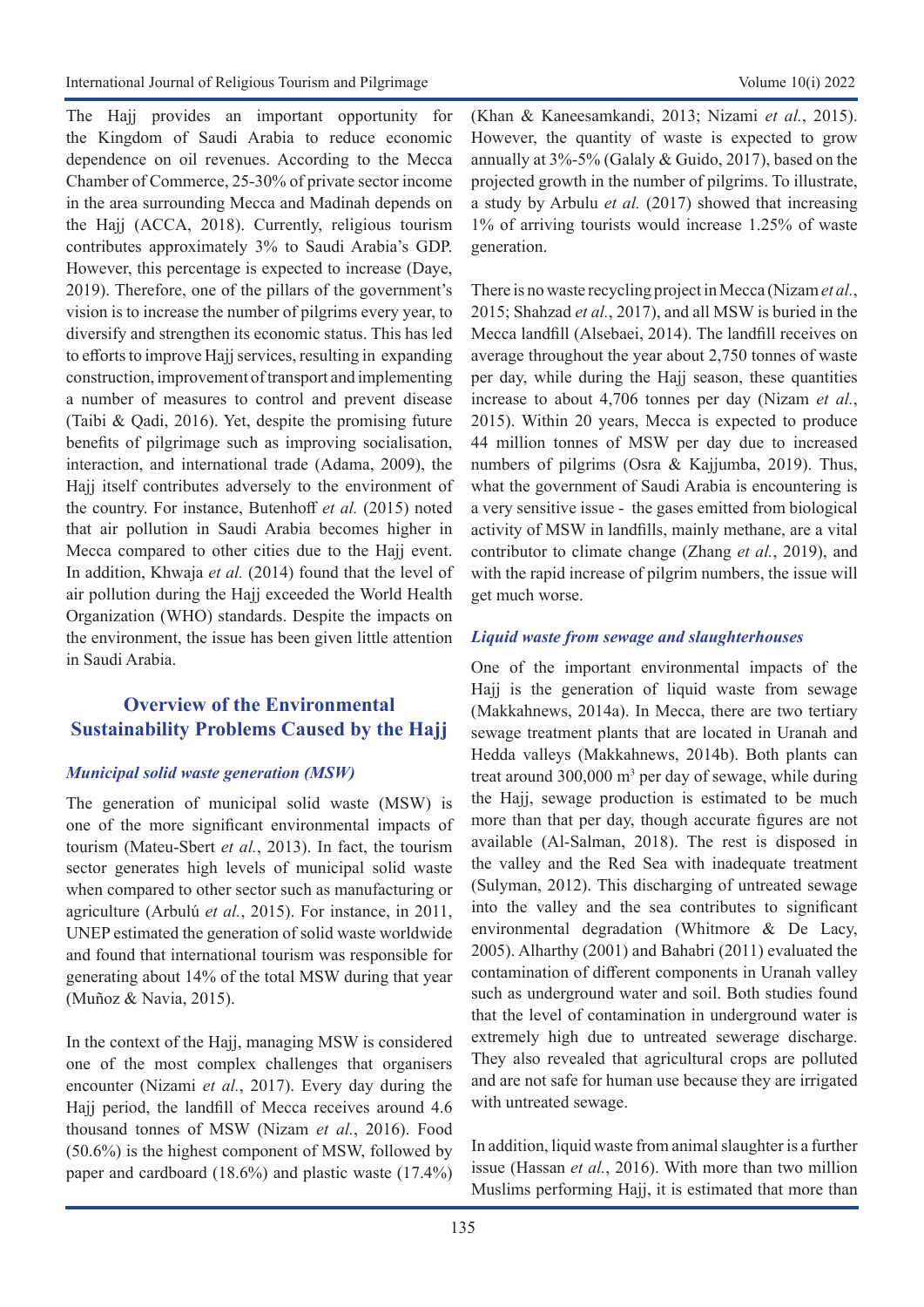The Hajj provides an important opportunity for the Kingdom of Saudi Arabia to reduce economic dependence on oil revenues. According to the Mecca Chamber of Commerce, 25-30% of private sector income in the area surrounding Mecca and Madinah depends on the Hajj (ACCA, 2018). Currently, religious tourism contributes approximately 3% to Saudi Arabia's GDP. However, this percentage is expected to increase (Daye, 2019). Therefore, one of the pillars of the government's vision is to increase the number of pilgrims every year, to diversify and strengthen its economic status. This has led to efforts to improve Hajj services, resulting in expanding construction, improvement of transport and implementing a number of measures to control and prevent disease (Taibi & Qadi, 2016). Yet, despite the promising future benefits of pilgrimage such as improving socialisation, interaction, and international trade (Adama, 2009), the Hajj itself contributes adversely to the environment of the country. For instance, Butenhoff *et al.* (2015) noted that air pollution in Saudi Arabia becomes higher in Mecca compared to other cities due to the Hajj event. In addition, Khwaja *et al.* (2014) found that the level of air pollution during the Hajj exceeded the World Health Organization (WHO) standards. Despite the impacts on the environment, the issue has been given little attention in Saudi Arabia.

## **Overview of the Environmental Sustainability Problems Caused by the Hajj**

#### *Municipal solid waste generation (MSW)*

The generation of municipal solid waste (MSW) is one of the more significant environmental impacts of tourism (Mateu-Sbert *et al.*, 2013). In fact, the tourism sector generates high levels of municipal solid waste when compared to other sector such as manufacturing or agriculture (Arbulú *et al.*, 2015). For instance, in 2011, UNEP estimated the generation of solid waste worldwide and found that international tourism was responsible for generating about 14% of the total MSW during that year (Muñoz & Navia, 2015).

In the context of the Hajj, managing MSW is considered one of the most complex challenges that organisers encounter (Nizami *et al.*, 2017). Every day during the Hajj period, the landfill of Mecca receives around 4.6 thousand tonnes of MSW (Nizam *et al.*, 2016). Food (50.6%) is the highest component of MSW, followed by paper and cardboard (18.6%) and plastic waste (17.4%) (Khan & Kaneesamkandi, 2013; Nizami *et al.*, 2015). However, the quantity of waste is expected to grow annually at 3%-5% (Galaly & Guido, 2017), based on the projected growth in the number of pilgrims. To illustrate, a study by Arbulu *et al.* (2017) showed that increasing 1% of arriving tourists would increase 1.25% of waste generation.

There is no waste recycling project in Mecca (Nizam *et al.*, 2015; Shahzad *et al.*, 2017), and all MSW is buried in the Mecca landfill (Alsebaei, 2014). The landfill receives on average throughout the year about 2,750 tonnes of waste per day, while during the Hajj season, these quantities increase to about 4,706 tonnes per day (Nizam *et al.*, 2015). Within 20 years, Mecca is expected to produce 44 million tonnes of MSW per day due to increased numbers of pilgrims (Osra & Kajjumba, 2019). Thus, what the government of Saudi Arabia is encountering is a very sensitive issue - the gases emitted from biological activity of MSW in landfills, mainly methane, are a vital contributor to climate change (Zhang *et al.*, 2019), and with the rapid increase of pilgrim numbers, the issue will get much worse.

#### *Liquid waste from sewage and slaughterhouses*

One of the important environmental impacts of the Hajj is the generation of liquid waste from sewage (Makkahnews, 2014a). In Mecca, there are two tertiary sewage treatment plants that are located in Uranah and Hedda valleys (Makkahnews, 2014b). Both plants can treat around  $300,000$  m<sup>3</sup> per day of sewage, while during the Hajj, sewage production is estimated to be much more than that per day, though accurate figures are not available (Al-Salman, 2018). The rest is disposed in the valley and the Red Sea with inadequate treatment (Sulyman, 2012). This discharging of untreated sewage into the valley and the sea contributes to significant environmental degradation (Whitmore & De Lacy, 2005). Alharthy (2001) and Bahabri (2011) evaluated the contamination of different components in Uranah valley such as underground water and soil. Both studies found that the level of contamination in underground water is extremely high due to untreated sewerage discharge. They also revealed that agricultural crops are polluted and are not safe for human use because they are irrigated with untreated sewage.

In addition, liquid waste from animal slaughter is a further issue (Hassan *et al.*, 2016). With more than two million Muslims performing Hajj, it is estimated that more than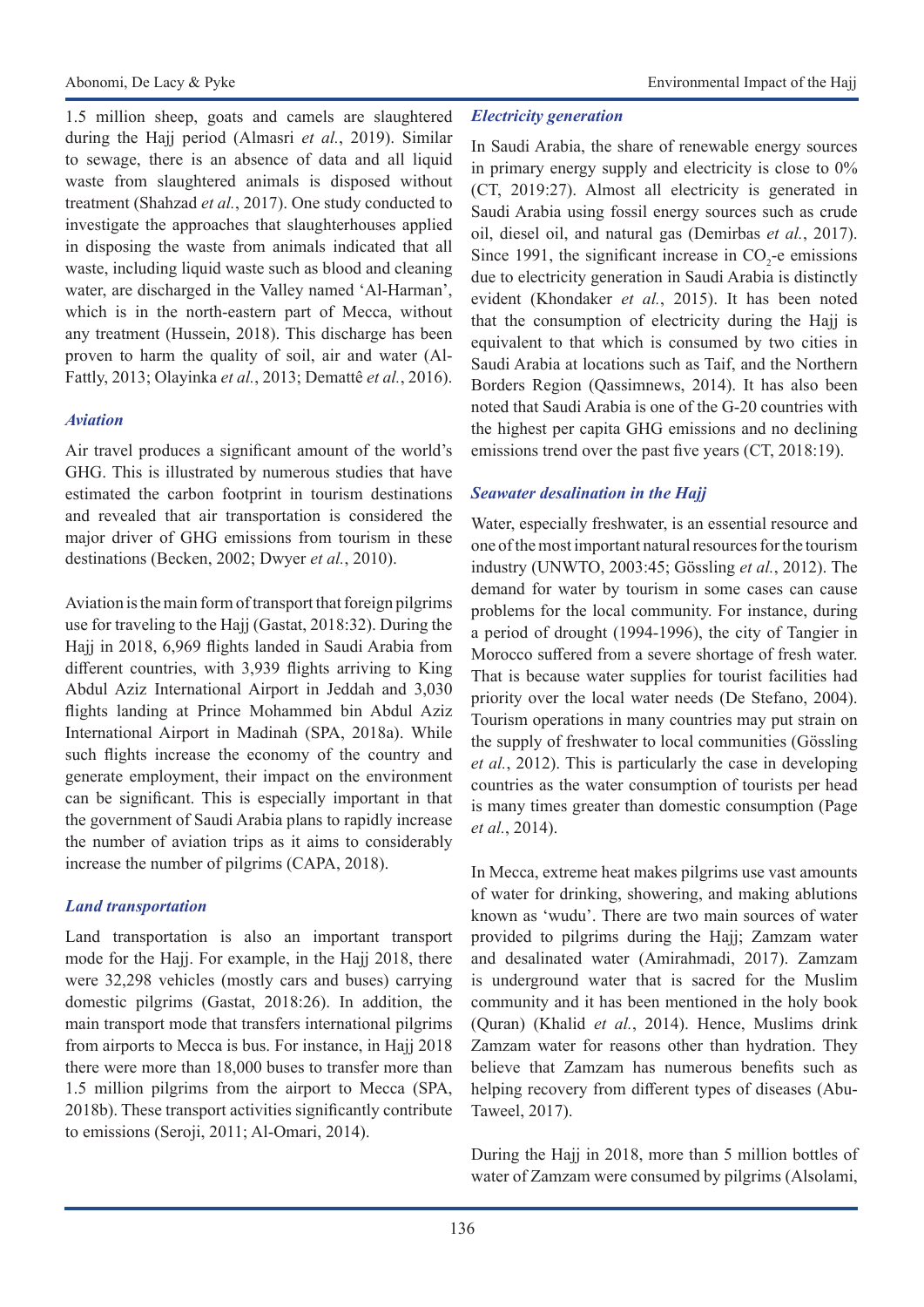1.5 million sheep, goats and camels are slaughtered during the Hajj period (Almasri *et al.*, 2019). Similar to sewage, there is an absence of data and all liquid waste from slaughtered animals is disposed without treatment (Shahzad *et al.*, 2017). One study conducted to investigate the approaches that slaughterhouses applied in disposing the waste from animals indicated that all waste, including liquid waste such as blood and cleaning water, are discharged in the Valley named 'Al-Harman', which is in the north-eastern part of Mecca, without any treatment (Hussein, 2018). This discharge has been proven to harm the quality of soil, air and water (Al-Fattly, 2013; Olayinka *et al.*, 2013; Demattê *et al.*, 2016).

## *Aviation*

Air travel produces a significant amount of the world's GHG. This is illustrated by numerous studies that have estimated the carbon footprint in tourism destinations and revealed that air transportation is considered the major driver of GHG emissions from tourism in these destinations (Becken, 2002; Dwyer *et al.*, 2010).

Aviation is the main form of transport that foreign pilgrims use for traveling to the Hajj (Gastat, 2018:32). During the Hajj in 2018, 6,969 flights landed in Saudi Arabia from different countries, with 3,939 flights arriving to King Abdul Aziz International Airport in Jeddah and 3,030 flights landing at Prince Mohammed bin Abdul Aziz International Airport in Madinah (SPA, 2018a). While such flights increase the economy of the country and generate employment, their impact on the environment can be significant. This is especially important in that the government of Saudi Arabia plans to rapidly increase the number of aviation trips as it aims to considerably increase the number of pilgrims (CAPA, 2018).

## *Land transportation*

Land transportation is also an important transport mode for the Hajj. For example, in the Hajj 2018, there were 32,298 vehicles (mostly cars and buses) carrying domestic pilgrims (Gastat, 2018:26). In addition, the main transport mode that transfers international pilgrims from airports to Mecca is bus. For instance, in Hajj 2018 there were more than 18,000 buses to transfer more than 1.5 million pilgrims from the airport to Mecca (SPA, 2018b). These transport activities significantly contribute to emissions (Seroji, 2011; Al-Omari, 2014).

### *Electricity generation*

In Saudi Arabia, the share of renewable energy sources in primary energy supply and electricity is close to 0% (CT, 2019:27). Almost all electricity is generated in Saudi Arabia using fossil energy sources such as crude oil, diesel oil, and natural gas (Demirbas *et al.*, 2017). Since 1991, the significant increase in  $CO_2$ -e emissions due to electricity generation in Saudi Arabia is distinctly evident (Khondaker *et al.*, 2015). It has been noted that the consumption of electricity during the Hajj is equivalent to that which is consumed by two cities in Saudi Arabia at locations such as Taif, and the Northern Borders Region (Qassimnews, 2014). It has also been noted that Saudi Arabia is one of the G-20 countries with the highest per capita GHG emissions and no declining emissions trend over the past five years (CT, 2018:19).

## *Seawater desalination in the Hajj*

Water, especially freshwater, is an essential resource and one of the most important natural resources for the tourism industry (UNWTO, 2003:45; Gössling *et al.*, 2012). The demand for water by tourism in some cases can cause problems for the local community. For instance, during a period of drought (1994-1996), the city of Tangier in Morocco suffered from a severe shortage of fresh water. That is because water supplies for tourist facilities had priority over the local water needs (De Stefano, 2004). Tourism operations in many countries may put strain on the supply of freshwater to local communities (Gössling *et al.*, 2012). This is particularly the case in developing countries as the water consumption of tourists per head is many times greater than domestic consumption (Page *et al.*, 2014).

In Mecca, extreme heat makes pilgrims use vast amounts of water for drinking, showering, and making ablutions known as 'wudu'. There are two main sources of water provided to pilgrims during the Hajj; Zamzam water and desalinated water (Amirahmadi, 2017). Zamzam is underground water that is sacred for the Muslim community and it has been mentioned in the holy book (Quran) (Khalid *et al.*, 2014). Hence, Muslims drink Zamzam water for reasons other than hydration. They believe that Zamzam has numerous benefits such as helping recovery from different types of diseases (Abu-Taweel, 2017).

During the Hajj in 2018, more than 5 million bottles of water of Zamzam were consumed by pilgrims (Alsolami,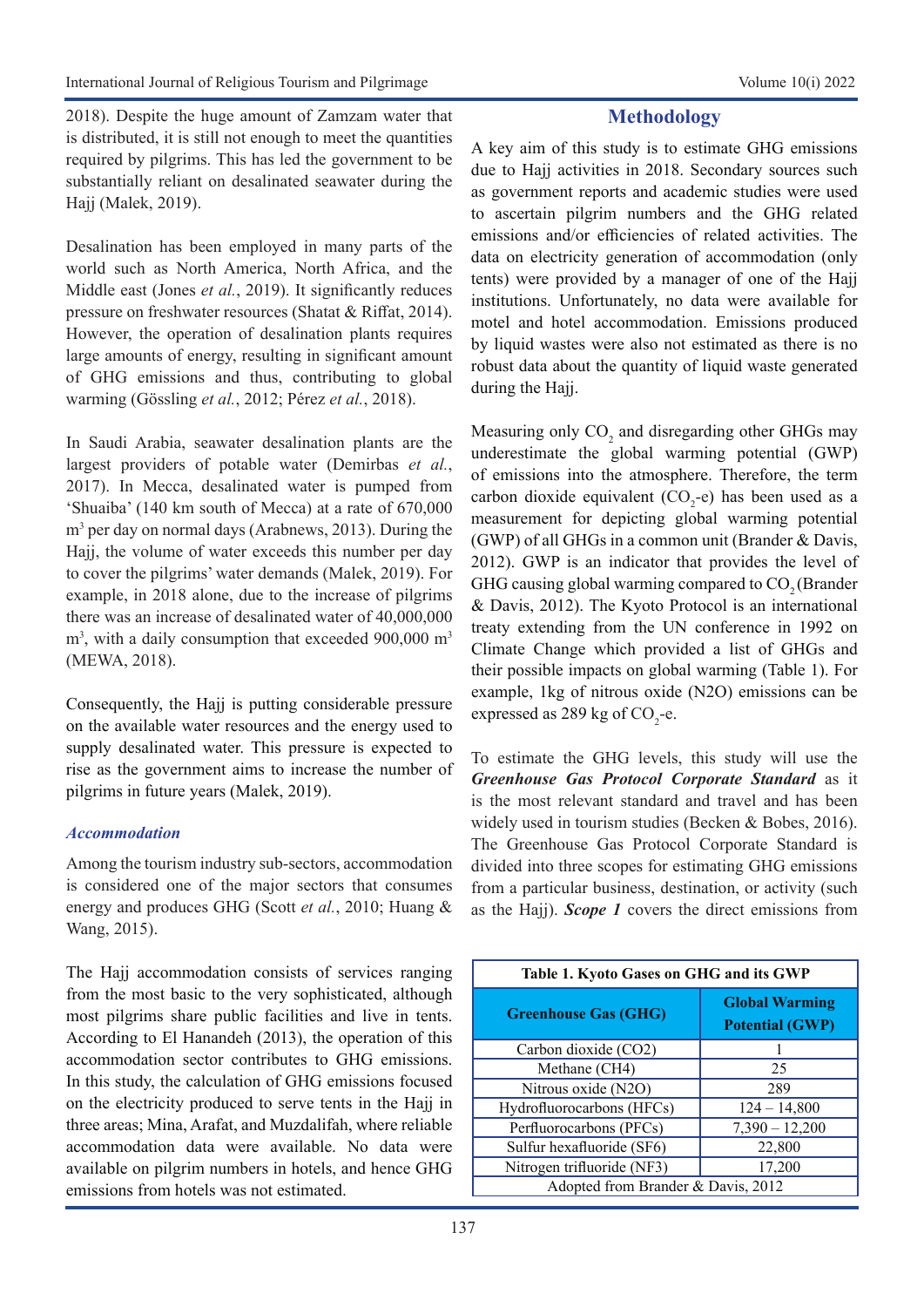2018). Despite the huge amount of Zamzam water that is distributed, it is still not enough to meet the quantities required by pilgrims. This has led the government to be substantially reliant on desalinated seawater during the Hajj (Malek, 2019).

Desalination has been employed in many parts of the world such as North America, North Africa, and the Middle east (Jones *et al.*, 2019). It significantly reduces pressure on freshwater resources (Shatat & Riffat, 2014). However, the operation of desalination plants requires large amounts of energy, resulting in significant amount of GHG emissions and thus, contributing to global warming (Gössling *et al.*, 2012; Pérez *et al.*, 2018).

In Saudi Arabia, seawater desalination plants are the largest providers of potable water (Demirbas *et al.*, 2017). In Mecca, desalinated water is pumped from 'Shuaiba' (140 km south of Mecca) at a rate of 670,000 m<sup>3</sup> per day on normal days (Arabnews, 2013). During the Hajj, the volume of water exceeds this number per day to cover the pilgrims' water demands (Malek, 2019). For example, in 2018 alone, due to the increase of pilgrims there was an increase of desalinated water of 40,000,000  $m<sup>3</sup>$ , with a daily consumption that exceeded 900,000  $m<sup>3</sup>$ (MEWA, 2018).

Consequently, the Hajj is putting considerable pressure on the available water resources and the energy used to supply desalinated water. This pressure is expected to rise as the government aims to increase the number of pilgrims in future years (Malek, 2019).

#### *Accommodation*

Among the tourism industry sub-sectors, accommodation is considered one of the major sectors that consumes energy and produces GHG (Scott *et al.*, 2010; Huang & Wang, 2015).

The Hajj accommodation consists of services ranging from the most basic to the very sophisticated, although most pilgrims share public facilities and live in tents. According to El Hanandeh (2013), the operation of this accommodation sector contributes to GHG emissions. In this study, the calculation of GHG emissions focused on the electricity produced to serve tents in the Hajj in three areas; Mina, Arafat, and Muzdalifah, where reliable accommodation data were available. No data were available on pilgrim numbers in hotels, and hence GHG emissions from hotels was not estimated.

## **Methodology**

A key aim of this study is to estimate GHG emissions due to Hajj activities in 2018. Secondary sources such as government reports and academic studies were used to ascertain pilgrim numbers and the GHG related emissions and/or efficiencies of related activities. The data on electricity generation of accommodation (only tents) were provided by a manager of one of the Hajj institutions. Unfortunately, no data were available for motel and hotel accommodation. Emissions produced by liquid wastes were also not estimated as there is no robust data about the quantity of liquid waste generated during the Hajj.

Measuring only  $CO_2$  and disregarding other GHGs may underestimate the global warming potential (GWP) of emissions into the atmosphere. Therefore, the term carbon dioxide equivalent  $(CO<sub>2</sub>-e)$  has been used as a measurement for depicting global warming potential (GWP) of all GHGs in a common unit (Brander & Davis, 2012). GWP is an indicator that provides the level of GHG causing global warming compared to  $CO<sub>2</sub>$  (Brander & Davis, 2012). The Kyoto Protocol is an international treaty extending from the UN conference in 1992 on Climate Change which provided a list of GHGs and their possible impacts on global warming (Table 1). For example, 1kg of nitrous oxide (N2O) emissions can be expressed as 289 kg of  $CO_2$ -e.

To estimate the GHG levels, this study will use the *Greenhouse Gas Protocol Corporate Standard* as it is the most relevant standard and travel and has been widely used in tourism studies (Becken & Bobes, 2016). The Greenhouse Gas Protocol Corporate Standard is divided into three scopes for estimating GHG emissions from a particular business, destination, or activity (such as the Hajj). *Scope 1* covers the direct emissions from

| Table 1. Kyoto Gases on GHG and its GWP |                                                 |  |  |  |  |  |
|-----------------------------------------|-------------------------------------------------|--|--|--|--|--|
| <b>Greenhouse Gas (GHG)</b>             | <b>Global Warming</b><br><b>Potential (GWP)</b> |  |  |  |  |  |
| Carbon dioxide (CO2)                    |                                                 |  |  |  |  |  |
| Methane (CH4)                           | 25                                              |  |  |  |  |  |
| Nitrous oxide (N2O)                     | 289                                             |  |  |  |  |  |
| Hydrofluorocarbons (HFCs)               | $124 - 14,800$                                  |  |  |  |  |  |
| Perfluorocarbons (PFCs)                 | $7,390 - 12,200$                                |  |  |  |  |  |
| Sulfur hexafluoride (SF6)               | 22,800                                          |  |  |  |  |  |
| Nitrogen trifluoride (NF3)              | 17,200                                          |  |  |  |  |  |
| Adopted from Brander & Davis, 2012      |                                                 |  |  |  |  |  |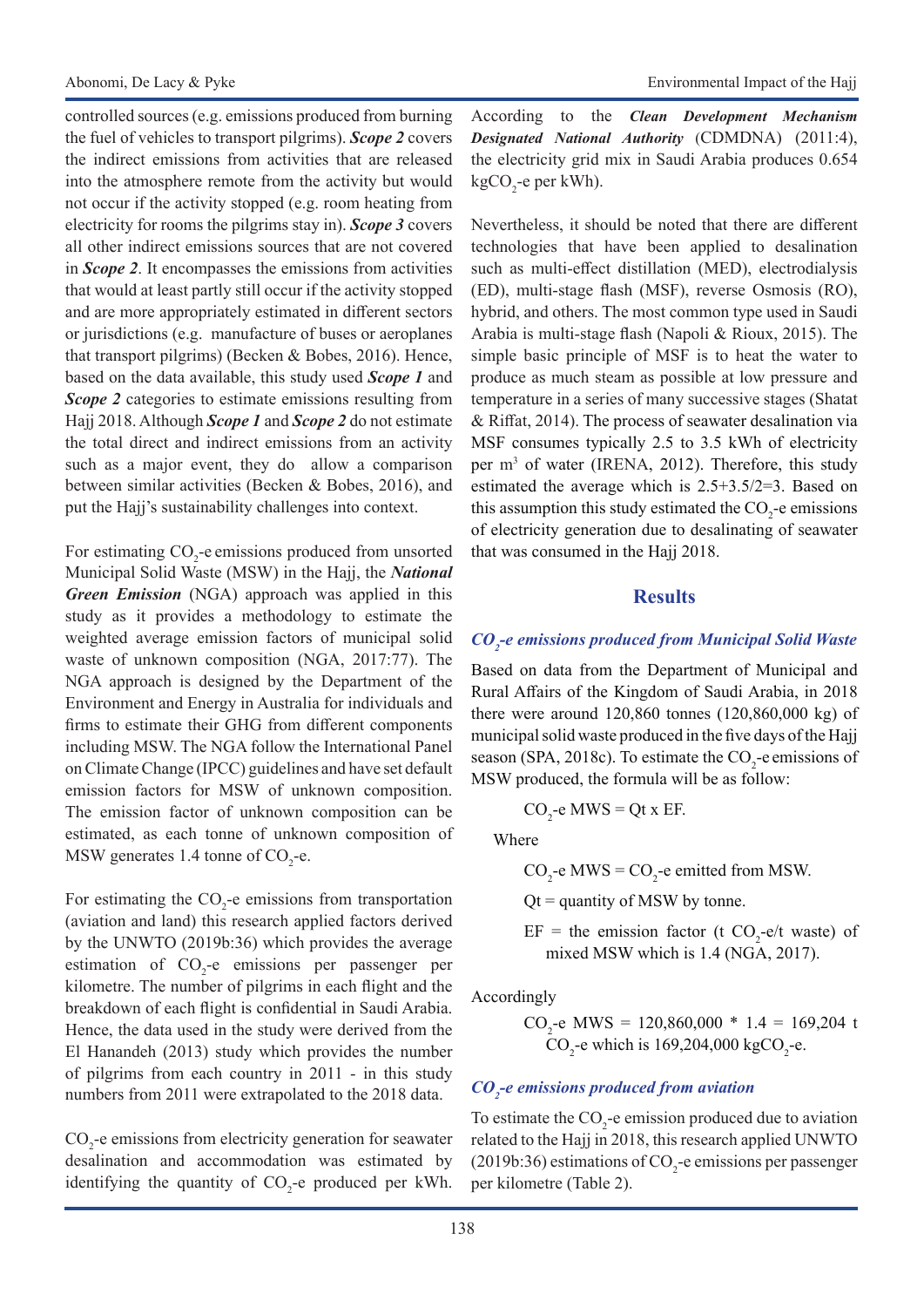controlled sources (e.g. emissions produced from burning the fuel of vehicles to transport pilgrims). *Scope 2* covers the indirect emissions from activities that are released into the atmosphere remote from the activity but would not occur if the activity stopped (e.g. room heating from electricity for rooms the pilgrims stay in). *Scope 3* covers all other indirect emissions sources that are not covered in *Scope 2*. It encompasses the emissions from activities that would at least partly still occur if the activity stopped and are more appropriately estimated in different sectors or jurisdictions (e.g. manufacture of buses or aeroplanes that transport pilgrims) (Becken & Bobes, 2016). Hence, based on the data available, this study used *Scope 1* and *Scope 2* categories to estimate emissions resulting from Hajj 2018. Although *Scope 1* and *Scope 2* do not estimate the total direct and indirect emissions from an activity such as a major event, they do allow a comparison between similar activities (Becken & Bobes, 2016), and put the Hajj's sustainability challenges into context.

For estimating  $CO_2$ -e emissions produced from unsorted Municipal Solid Waste (MSW) in the Hajj, the *National Green Emission* (NGA) approach was applied in this study as it provides a methodology to estimate the weighted average emission factors of municipal solid waste of unknown composition (NGA, 2017:77). The NGA approach is designed by the Department of the Environment and Energy in Australia for individuals and firms to estimate their GHG from different components including MSW. The NGA follow the International Panel on Climate Change (IPCC) guidelines and have set default emission factors for MSW of unknown composition. The emission factor of unknown composition can be estimated, as each tonne of unknown composition of MSW generates 1.4 tonne of  $CO<sub>2</sub>$ -e.

For estimating the  $CO_2$ -e emissions from transportation (aviation and land) this research applied factors derived by the UNWTO (2019b:36) which provides the average estimation of  $CO<sub>2</sub>$ -e emissions per passenger per kilometre. The number of pilgrims in each flight and the breakdown of each flight is confidential in Saudi Arabia. Hence, the data used in the study were derived from the El Hanandeh (2013) study which provides the number of pilgrims from each country in 2011 - in this study numbers from 2011 were extrapolated to the 2018 data.

 $CO<sub>2</sub>$ -e emissions from electricity generation for seawater desalination and accommodation was estimated by identifying the quantity of  $CO_2$ -e produced per kWh. According to the *Clean Development Mechanism Designated National Authority* (CDMDNA) (2011:4), the electricity grid mix in Saudi Arabia produces 0.654 kgCO<sub>2</sub>-e per kWh).

Nevertheless, it should be noted that there are different technologies that have been applied to desalination such as multi-effect distillation (MED), electrodialysis (ED), multi-stage flash (MSF), reverse Osmosis (RO), hybrid, and others. The most common type used in Saudi Arabia is multi-stage flash (Napoli & Rioux, 2015). The simple basic principle of MSF is to heat the water to produce as much steam as possible at low pressure and temperature in a series of many successive stages (Shatat & Riffat, 2014). The process of seawater desalination via MSF consumes typically 2.5 to 3.5 kWh of electricity per  $m<sup>3</sup>$  of water (IRENA, 2012). Therefore, this study estimated the average which is 2.5+3.5/2=3. Based on this assumption this study estimated the  $CO_2$ -e emissions of electricity generation due to desalinating of seawater that was consumed in the Hajj 2018.

#### **Results**

## *CO2 -e emissions produced from Municipal Solid Waste*

Based on data from the Department of Municipal and Rural Affairs of the Kingdom of Saudi Arabia, in 2018 there were around 120,860 tonnes (120,860,000 kg) of municipal solid waste produced in the five days of the Hajj season (SPA, 2018c). To estimate the  $CO_2$ -e emissions of MSW produced, the formula will be as follow:

$$
CO_2
$$
-e MWS = Qt x EF.

Where

 $CO_2$ -e MWS =  $CO_2$ -e emitted from MSW.

 $Qt =$  quantity of MSW by tonne.

 $EF =$  the emission factor (t CO<sub>2</sub>-e/t waste) of mixed MSW which is 1.4 (NGA, 2017).

Accordingly

CO<sub>2</sub>-e MWS = 120,860,000 \* 1.4 = 169,204 t  $CO_2$ -e which is 169,204,000 kgCO<sub>2</sub>-e.

## *CO2 -e emissions produced from aviation*

To estimate the  $CO_2$ -e emission produced due to aviation related to the Hajj in 2018, this research applied UNWTO (2019b:36) estimations of  $CO_2$ -e emissions per passenger per kilometre (Table 2).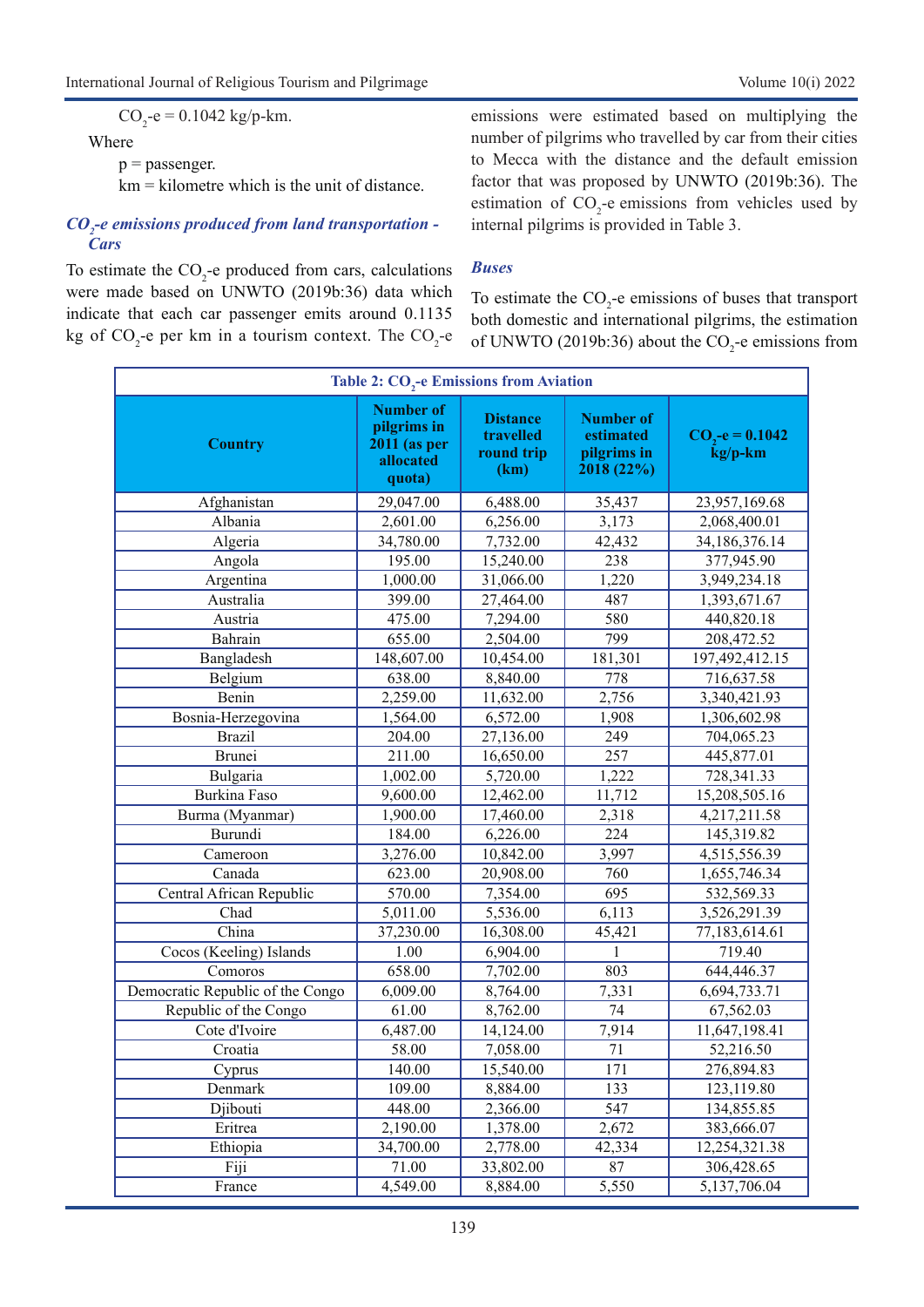$CO_2$ -e = 0.1042 kg/p-km.

#### Where

 $p =$  passenger.

km = kilometre which is the unit of distance.

#### *CO2 -e emissions produced from land transportation - Cars*

To estimate the  $CO_2$ -e produced from cars, calculations were made based on UNWTO (2019b:36) data which indicate that each car passenger emits around 0.1135 kg of  $CO_2$ -e per km in a tourism context. The  $CO_2$ -e

emissions were estimated based on multiplying the number of pilgrims who travelled by car from their cities to Mecca with the distance and the default emission factor that was proposed by UNWTO (2019b:36). The estimation of  $CO_2$ -e emissions from vehicles used by internal pilgrims is provided in Table 3.

#### *Buses*

To estimate the  $CO<sub>2</sub>$ -e emissions of buses that transport both domestic and international pilgrims, the estimation of UNWTO (2019b:36) about the  $CO_2$ -e emissions from

| <b>Table 2: CO<sub>2</sub>-e Emissions from Aviation</b> |                                                                               |                                                    |                                                            |                             |  |  |  |
|----------------------------------------------------------|-------------------------------------------------------------------------------|----------------------------------------------------|------------------------------------------------------------|-----------------------------|--|--|--|
| <b>Country</b>                                           | <b>Number of</b><br>pilgrims in<br><b>2011 (as per</b><br>allocated<br>quota) | <b>Distance</b><br>travelled<br>round trip<br>(km) | <b>Number of</b><br>estimated<br>pilgrims in<br>2018 (22%) | $CO3-e = 0.1042$<br>kg/p-km |  |  |  |
| Afghanistan                                              | 29,047.00                                                                     | 6,488.00                                           | 35,437                                                     | 23,957,169.68               |  |  |  |
| Albania                                                  | 2,601.00                                                                      | 6,256.00                                           | 3,173                                                      | 2,068,400.01                |  |  |  |
| Algeria                                                  | 34,780.00                                                                     | 7,732.00                                           | 42,432                                                     | 34,186,376.14               |  |  |  |
| Angola                                                   | 195.00                                                                        | 15,240.00                                          | 238                                                        | 377,945.90                  |  |  |  |
| Argentina                                                | 1,000.00                                                                      | 31,066.00                                          | 1,220                                                      | 3,949,234.18                |  |  |  |
| Australia                                                | 399.00                                                                        | 27,464.00                                          | 487                                                        | 1,393,671.67                |  |  |  |
| Austria                                                  | 475.00                                                                        | $\overline{7,294.00}$                              | 580                                                        | 440,820.18                  |  |  |  |
| Bahrain                                                  | 655.00                                                                        | 2,504.00                                           | 799                                                        | 208,472.52                  |  |  |  |
| Bangladesh                                               | 148,607.00                                                                    | 10,454.00                                          | 181,301                                                    | 197,492,412.15              |  |  |  |
| Belgium                                                  | 638.00                                                                        | 8,840.00                                           | 778                                                        | 716,637.58                  |  |  |  |
| Benin                                                    | 2,259.00                                                                      | 11,632.00                                          | 2,756                                                      | 3,340,421.93                |  |  |  |
| Bosnia-Herzegovina                                       | 1,564.00                                                                      | 6,572.00                                           | 1,908                                                      | 1,306,602.98                |  |  |  |
| <b>Brazil</b>                                            | 204.00                                                                        | 27,136.00                                          | 249                                                        | 704,065.23                  |  |  |  |
| Brunei                                                   | 211.00                                                                        | 16,650.00                                          | 257                                                        | 445,877.01                  |  |  |  |
| Bulgaria                                                 | 1,002.00                                                                      | 5,720.00                                           | 1,222                                                      | 728,341.33                  |  |  |  |
| <b>Burkina Faso</b>                                      | 9,600.00                                                                      | 12,462.00                                          | 11,712                                                     | 15,208,505.16               |  |  |  |
| Burma (Myanmar)                                          | 1,900.00                                                                      | 17,460.00                                          | 2,318                                                      | 4,217,211.58                |  |  |  |
| Burundi                                                  | 184.00                                                                        | 6,226.00                                           | 224                                                        | 145,319.82                  |  |  |  |
| Cameroon                                                 | 3,276.00                                                                      | 10,842.00                                          | 3,997                                                      | 4,515,556.39                |  |  |  |
| Canada                                                   | 623.00                                                                        | 20,908.00                                          | 760                                                        | 1,655,746.34                |  |  |  |
| Central African Republic                                 | 570.00                                                                        | 7,354.00                                           | 695                                                        | 532,569.33                  |  |  |  |
| Chad                                                     | 5,011.00                                                                      | 5,536.00                                           | 6,113                                                      | 3,526,291.39                |  |  |  |
| $\overline{China}$                                       | 37,230.00                                                                     | 16,308.00                                          | 45,421                                                     | 77,183,614.61               |  |  |  |
| Cocos (Keeling) Islands                                  | 1.00                                                                          | 6,904.00                                           | 1                                                          | 719.40                      |  |  |  |
| Comoros                                                  | 658.00                                                                        | 7,702.00                                           | 803                                                        | 644,446.37                  |  |  |  |
| Democratic Republic of the Congo                         | 6,009.00                                                                      | 8,764.00                                           | 7,331                                                      | 6,694,733.71                |  |  |  |
| Republic of the Congo                                    | 61.00                                                                         | 8,762.00                                           | 74                                                         | 67,562.03                   |  |  |  |
| Cote d'Ivoire                                            | 6,487.00                                                                      | 14,124.00                                          | 7,914                                                      | 11,647,198.41               |  |  |  |
| Croatia                                                  | 58.00                                                                         | 7,058.00                                           | 71                                                         | 52,216.50                   |  |  |  |
| Cyprus                                                   | 140.00                                                                        | 15,540.00                                          | $\overline{171}$                                           | 276,894.83                  |  |  |  |
| Denmark                                                  | 109.00                                                                        | 8,884.00                                           | 133                                                        | 123,119.80                  |  |  |  |
| Djibouti                                                 | 448.00                                                                        | 2,366.00                                           | 547                                                        | 134,855.85                  |  |  |  |
| Eritrea                                                  | 2,190.00                                                                      | 1,378.00                                           | 2,672                                                      | 383,666.07                  |  |  |  |
| Ethiopia                                                 | 34,700.00                                                                     | 2,778.00                                           | 42,334                                                     | 12,254,321.38               |  |  |  |
| Fiji                                                     | 71.00                                                                         | 33,802.00                                          | 87                                                         | 306,428.65                  |  |  |  |
| France                                                   | 4,549.00                                                                      | 8,884.00                                           | 5,550                                                      | 5,137,706.04                |  |  |  |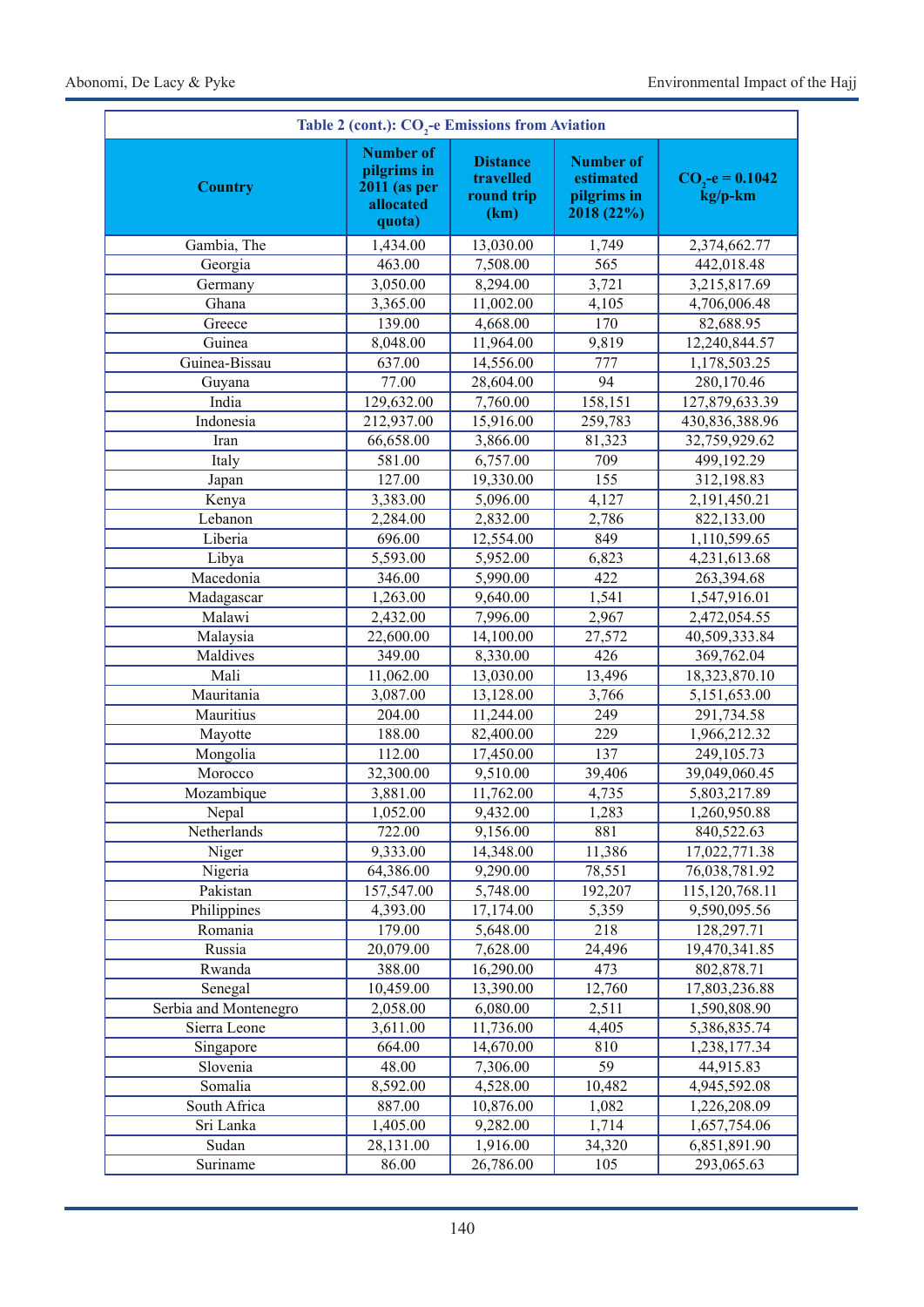| Table 2 (cont.): CO <sub>2</sub> -e Emissions from Aviation |                                                                               |                                                    |                                                            |                             |  |  |  |
|-------------------------------------------------------------|-------------------------------------------------------------------------------|----------------------------------------------------|------------------------------------------------------------|-----------------------------|--|--|--|
| <b>Country</b>                                              | <b>Number of</b><br>pilgrims in<br><b>2011</b> (as per<br>allocated<br>quota) | <b>Distance</b><br>travelled<br>round trip<br>(km) | <b>Number of</b><br>estimated<br>pilgrims in<br>2018 (22%) | $CO3-e = 0.1042$<br>kg/p-km |  |  |  |
| Gambia, The                                                 | 1,434.00                                                                      | 13,030.00                                          | 1,749                                                      | 2,374,662.77                |  |  |  |
| Georgia                                                     | 463.00                                                                        | 7,508.00                                           | 565                                                        | 442,018.48                  |  |  |  |
| Germany                                                     | 3,050.00                                                                      | 8,294.00                                           | 3,721                                                      | 3,215,817.69                |  |  |  |
| Ghana                                                       | 3,365.00                                                                      | 11,002.00                                          | 4,105                                                      | 4,706,006.48                |  |  |  |
| Greece                                                      | 139.00                                                                        | 4,668.00                                           | 170                                                        | 82,688.95                   |  |  |  |
| Guinea                                                      | 8,048.00                                                                      | 11,964.00                                          | 9,819                                                      | 12,240,844.57               |  |  |  |
| Guinea-Bissau                                               | 637.00                                                                        | 14,556.00                                          | 777                                                        | 1,178,503.25                |  |  |  |
| Guyana                                                      | 77.00                                                                         | 28,604.00                                          | 94                                                         | 280,170.46                  |  |  |  |
| India                                                       | 129,632.00                                                                    | 7,760.00                                           | 158,151                                                    | 127,879,633.39              |  |  |  |
| Indonesia                                                   | 212,937.00                                                                    | 15,916.00                                          | 259,783                                                    | 430,836,388.96              |  |  |  |
| Iran                                                        | 66,658.00                                                                     | 3,866.00                                           | 81,323                                                     | 32,759,929.62               |  |  |  |
| Italy                                                       | 581.00                                                                        | 6,757.00                                           | 709                                                        | 499,192.29                  |  |  |  |
| Japan                                                       | 127.00                                                                        | 19,330.00                                          | 155                                                        | 312,198.83                  |  |  |  |
| Kenya                                                       | 3,383.00                                                                      | $\overline{5,096.00}$                              | 4,127                                                      | 2,191,450.21                |  |  |  |
| Lebanon                                                     | 2,284.00                                                                      | 2,832.00                                           | 2,786                                                      | 822,133.00                  |  |  |  |
| Liberia                                                     | 696.00                                                                        | 12,554.00                                          | 849                                                        | 1,110,599.65                |  |  |  |
| Libya                                                       | 5,593.00                                                                      | 5,952.00                                           | 6,823                                                      | 4,231,613.68                |  |  |  |
| Macedonia                                                   | 346.00                                                                        | 5,990.00                                           | 422                                                        | 263,394.68                  |  |  |  |
| Madagascar                                                  | 1,263.00                                                                      | 9,640.00                                           | 1,541                                                      | 1,547,916.01                |  |  |  |
| Malawi                                                      | 2,432.00                                                                      | 7,996.00                                           | 2,967                                                      | 2,472,054.55                |  |  |  |
| Malaysia                                                    | 22,600.00                                                                     | 14,100.00                                          | 27,572                                                     | 40,509,333.84               |  |  |  |
| Maldives                                                    | 349.00                                                                        | 8,330.00                                           | 426                                                        | 369,762.04                  |  |  |  |
| Mali                                                        | 11,062.00                                                                     | 13,030.00                                          | 13,496                                                     | 18,323,870.10               |  |  |  |
| Mauritania                                                  | 3,087.00                                                                      | 13,128.00                                          | 3,766                                                      | 5,151,653.00                |  |  |  |
| Mauritius                                                   | 204.00                                                                        | 11,244.00                                          | 249                                                        | 291,734.58                  |  |  |  |
| Mayotte                                                     | 188.00                                                                        | 82,400.00                                          | 229                                                        | 1,966,212.32                |  |  |  |
| Mongolia                                                    | 112.00                                                                        | 17,450.00                                          | $\overline{137}$                                           | 249,105.73                  |  |  |  |
| Morocco                                                     | 32,300.00                                                                     | 9,510.00                                           | 39,406                                                     | 39,049,060.45               |  |  |  |
| Mozambique                                                  | 3,881.00                                                                      | 11,762.00                                          | 4,735                                                      | 5,803,217.89                |  |  |  |
| Nepal                                                       | 1,052.00                                                                      | 9,432.00                                           | 1,283                                                      | 1,260,950.88                |  |  |  |
| Netherlands                                                 | 722.00                                                                        | 9,156.00                                           | 881                                                        | 840,522.63                  |  |  |  |
| Niger                                                       | 9,333.00                                                                      | 14,348.00                                          | 11,386                                                     | 17,022,771.38               |  |  |  |
| Nigeria                                                     | 64,386.00                                                                     | 9,290.00                                           | 78,551                                                     | 76,038,781.92               |  |  |  |
| Pakistan                                                    | 157,547.00                                                                    | 5,748.00                                           | 192,207                                                    | 115, 120, 768. 11           |  |  |  |
| Philippines                                                 | 4,393.00                                                                      | 17,174.00                                          | 5,359                                                      | 9,590,095.56                |  |  |  |
| Romania                                                     | 179.00                                                                        | 5,648.00                                           | 218                                                        | 128,297.71                  |  |  |  |
| Russia                                                      | 20,079.00                                                                     | 7,628.00                                           | 24,496                                                     | 19,470,341.85               |  |  |  |
| Rwanda                                                      | 388.00                                                                        | 16,290.00                                          | 473                                                        | 802,878.71                  |  |  |  |
| Senegal                                                     | 10,459.00                                                                     | 13,390.00                                          | 12,760                                                     | 17,803,236.88               |  |  |  |
| Serbia and Montenegro                                       | 2,058.00                                                                      | 6,080.00                                           | 2,511                                                      | 1,590,808.90                |  |  |  |
| Sierra Leone                                                | 3,611.00                                                                      | 11,736.00                                          | 4,405                                                      | 5,386,835.74                |  |  |  |
| Singapore                                                   | 664.00                                                                        | 14,670.00                                          | 810                                                        | 1,238,177.34                |  |  |  |
| Slovenia                                                    | 48.00                                                                         | 7,306.00                                           | 59                                                         | 44,915.83                   |  |  |  |
| Somalia                                                     | 8,592.00                                                                      | 4,528.00                                           | 10,482                                                     | 4,945,592.08                |  |  |  |
| South Africa                                                | 887.00                                                                        | 10,876.00                                          | 1,082                                                      | 1,226,208.09                |  |  |  |
| Sri Lanka                                                   | 1,405.00                                                                      | 9,282.00                                           | 1,714                                                      | 1,657,754.06                |  |  |  |
| Sudan                                                       | 28,131.00                                                                     | 1,916.00                                           | 34,320                                                     | 6,851,891.90                |  |  |  |
| Suriname                                                    | 86.00                                                                         | 26,786.00                                          | 105                                                        | 293,065.63                  |  |  |  |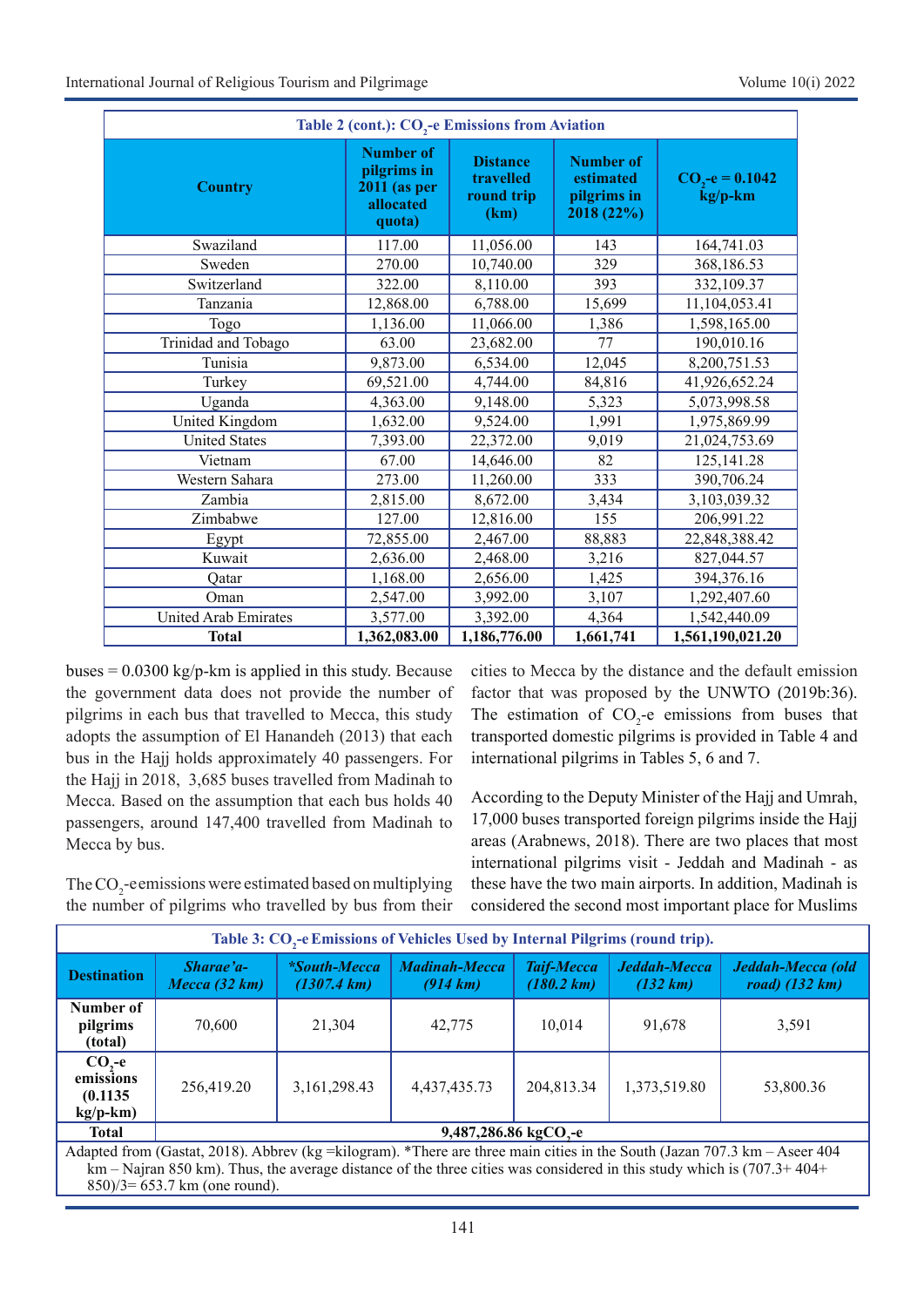| Table 2 (cont.): CO <sub>2</sub> -e Emissions from Aviation |                                                                          |                                                    |                                                            |                             |  |  |  |
|-------------------------------------------------------------|--------------------------------------------------------------------------|----------------------------------------------------|------------------------------------------------------------|-----------------------------|--|--|--|
| <b>Country</b>                                              | <b>Number of</b><br>pilgrims in<br>$2011$ (as per<br>allocated<br>quota) | <b>Distance</b><br>travelled<br>round trip<br>(km) | <b>Number of</b><br>estimated<br>pilgrims in<br>2018 (22%) | $CO2-e = 0.1042$<br>kg/p-km |  |  |  |
| Swaziland                                                   | 117.00                                                                   | 11,056.00                                          | 143                                                        | 164,741.03                  |  |  |  |
| Sweden                                                      | 270.00                                                                   | 10,740.00                                          | 329                                                        | 368,186.53                  |  |  |  |
| Switzerland                                                 | 322.00                                                                   | 8,110.00                                           | 393                                                        | 332,109.37                  |  |  |  |
| Tanzania                                                    | 12,868.00                                                                | 6,788.00                                           | 15,699                                                     | 11,104,053.41               |  |  |  |
| Togo                                                        | 1,136.00                                                                 | 11,066.00                                          | 1,386                                                      | 1,598,165.00                |  |  |  |
| Trinidad and Tobago                                         | 63.00                                                                    | 23,682.00                                          | 77                                                         | 190,010.16                  |  |  |  |
| Tunisia                                                     | 9,873.00                                                                 | 6,534.00                                           | 12,045                                                     | 8,200,751.53                |  |  |  |
| Turkey                                                      | 69,521.00                                                                | 4,744.00                                           | 84,816                                                     | 41,926,652.24               |  |  |  |
| Uganda                                                      | 4,363.00                                                                 | 9,148.00                                           | 5,323                                                      | 5,073,998.58                |  |  |  |
| United Kingdom                                              | 1,632.00                                                                 | 9,524.00                                           | 1,991                                                      | 1,975,869.99                |  |  |  |
| <b>United States</b>                                        | 7,393.00                                                                 | 22,372.00                                          | 9,019                                                      | 21,024,753.69               |  |  |  |
| Vietnam                                                     | 67.00                                                                    | 14,646.00                                          | 82                                                         | 125,141.28                  |  |  |  |
| Western Sahara                                              | 273.00                                                                   | 11,260.00                                          | 333                                                        | 390,706.24                  |  |  |  |
| Zambia                                                      | 2,815.00                                                                 | 8,672.00                                           | 3,434                                                      | 3,103,039.32                |  |  |  |
| Zimbabwe                                                    | 127.00                                                                   | 12,816.00                                          | 155                                                        | 206,991.22                  |  |  |  |
| Egypt                                                       | 72,855.00                                                                | 2,467.00                                           | 88,883                                                     | 22,848,388.42               |  |  |  |
| Kuwait                                                      | 2,636.00                                                                 | 2,468.00                                           | 3,216                                                      | 827,044.57                  |  |  |  |
| Oatar                                                       | 1,168.00                                                                 | 2,656.00                                           | 1,425                                                      | 394,376.16                  |  |  |  |
| Oman                                                        | 2,547.00                                                                 | 3,992.00                                           | 3,107                                                      | 1,292,407.60                |  |  |  |
| United Arab Emirates                                        | 3,577.00                                                                 | 3,392.00                                           | 4,364                                                      | 1,542,440.09                |  |  |  |
| <b>Total</b>                                                | 1,362,083.00                                                             | 1,186,776.00                                       | 1,661,741                                                  | 1,561,190,021.20            |  |  |  |

buses =  $0.0300 \text{ kg/p-km}$  is applied in this study. Because the government data does not provide the number of pilgrims in each bus that travelled to Mecca, this study adopts the assumption of El Hanandeh (2013) that each bus in the Hajj holds approximately 40 passengers. For the Hajj in 2018, 3,685 buses travelled from Madinah to Mecca. Based on the assumption that each bus holds 40 passengers, around 147,400 travelled from Madinah to Mecca by bus.

The  $\mathrm{CO}_2$ -eemissions were estimated based on multiplying the number of pilgrims who travelled by bus from their

cities to Mecca by the distance and the default emission factor that was proposed by the UNWTO (2019b:36). The estimation of  $CO<sub>2</sub>$ -e emissions from buses that transported domestic pilgrims is provided in Table 4 and international pilgrims in Tables 5, 6 and 7.

According to the Deputy Minister of the Hajj and Umrah, 17,000 buses transported foreign pilgrims inside the Hajj areas (Arabnews, 2018). There are two places that most international pilgrims visit - Jeddah and Madinah - as these have the two main airports. In addition, Madinah is considered the second most important place for Muslims

| Table 3: CO <sub>2</sub> -e Emissions of Vehicles Used by Internal Pilgrims (round trip).                                                                                                                                                                   |                              |                                              |                                              |                                           |                          |                                               |  |
|-------------------------------------------------------------------------------------------------------------------------------------------------------------------------------------------------------------------------------------------------------------|------------------------------|----------------------------------------------|----------------------------------------------|-------------------------------------------|--------------------------|-----------------------------------------------|--|
| <b>Destination</b>                                                                                                                                                                                                                                          | Sharae'a-<br>Mecca $(32 km)$ | <i>*South-Mecca</i><br>$(1307.4 \text{ km})$ | <b>Madinah-Mecca</b><br>$(914 \; \text{km})$ | <b>Taif-Mecca</b><br>$(180.2 \text{ km})$ | Jeddah-Mecca<br>(132 km) | Jeddah-Mecca (old<br>road) $(132 \text{ km})$ |  |
| Number of<br>pilgrims<br>(total)                                                                                                                                                                                                                            | 70,600                       | 21,304                                       | 42,775                                       | 10.014                                    | 91,678                   | 3,591                                         |  |
| $CO2$ -e<br>emissions<br>(0.1135)<br>$kg/p-km)$                                                                                                                                                                                                             | 256,419.20                   | 3,161,298.43                                 | 4,437,435.73                                 | 204,813.34                                | 1,373,519.80             | 53,800.36                                     |  |
| 9,487,286.86 kgCO <sub>2</sub> -e<br><b>Total</b>                                                                                                                                                                                                           |                              |                                              |                                              |                                           |                          |                                               |  |
| Adapted from (Gastat, 2018). Abbrev (kg = kilogram). *There are three main cities in the South (Jazan 707.3 km – Aseer 404<br>$km - Najran 850 km$ ). Thus, the average distance of the three cities was considered in this study which is $(707.3 + 404 +$ |                              |                                              |                                              |                                           |                          |                                               |  |

850)/3= 653.7 km (one round).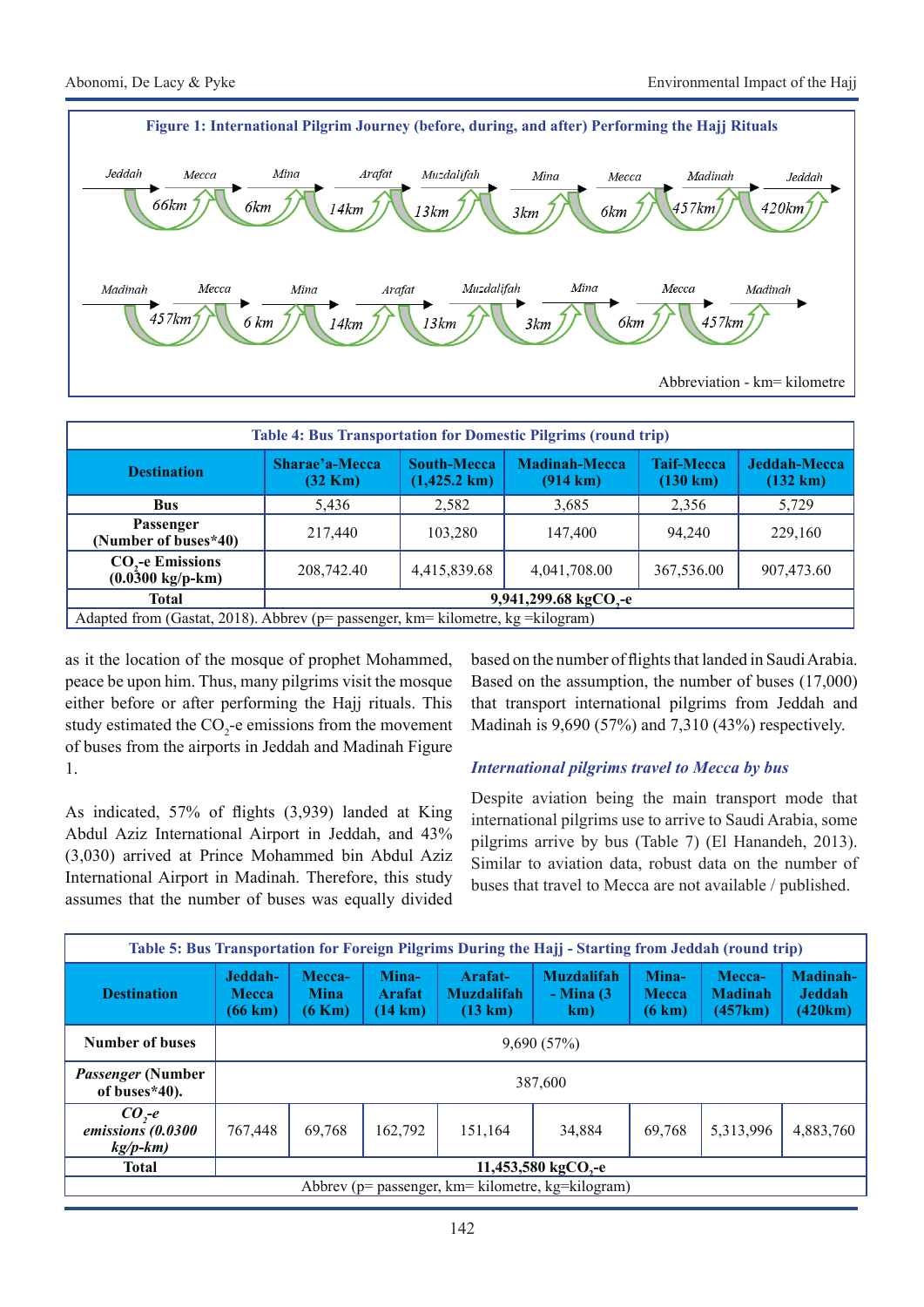

| <b>Table 4: Bus Transportation for Domestic Pilgrims (round trip)</b>            |                                     |                                              |                                            |                                         |                                    |  |  |
|----------------------------------------------------------------------------------|-------------------------------------|----------------------------------------------|--------------------------------------------|-----------------------------------------|------------------------------------|--|--|
| <b>Destination</b>                                                               | Sharae'a-Mecca<br>$(32 \text{ Km})$ | <b>South-Mecca</b><br>$(1,425.2 \text{ km})$ | <b>Madinah-Mecca</b><br>$(914 \text{ km})$ | <b>Taif-Mecca</b><br>$(130 \text{ km})$ | Jeddah-Mecca<br>$(132 \text{ km})$ |  |  |
| <b>Bus</b>                                                                       | 5,436                               | 2,582                                        | 3,685                                      | 2,356                                   | 5,729                              |  |  |
| <b>Passenger</b><br>(Number of buses*40)                                         | 217,440                             | 103,280                                      | 147,400                                    | 94.240                                  | 229,160                            |  |  |
| CO <sub>2</sub> -e Emissions<br>$(0.0300 \text{ kg/p-km})$                       | 208,742.40                          | 4,415,839.68                                 | 4,041,708.00                               | 367,536.00                              | 907,473.60                         |  |  |
| Total                                                                            | 9,941,299.68 kgCO <sub>2</sub> -e   |                                              |                                            |                                         |                                    |  |  |
| Adapted from (Gastat, 2018). Abbrev (p= passenger, km= kilometre, kg = kilogram) |                                     |                                              |                                            |                                         |                                    |  |  |

as it the location of the mosque of prophet Mohammed, peace be upon him. Thus, many pilgrims visit the mosque either before or after performing the Hajj rituals. This study estimated the  $CO_2$ -e emissions from the movement of buses from the airports in Jeddah and Madinah Figure 1.

As indicated, 57% of flights (3,939) landed at King Abdul Aziz International Airport in Jeddah, and 43% (3,030) arrived at Prince Mohammed bin Abdul Aziz International Airport in Madinah. Therefore, this study assumes that the number of buses was equally divided

based on the number of flights that landed in Saudi Arabia. Based on the assumption, the number of buses (17,000) that transport international pilgrims from Jeddah and Madinah is 9,690 (57%) and 7,310 (43%) respectively.

## *International pilgrims travel to Mecca by bus*

Despite aviation being the main transport mode that international pilgrims use to arrive to Saudi Arabia, some pilgrims arrive by bus (Table 7) (El Hanandeh, 2013). Similar to aviation data, robust data on the number of buses that travel to Mecca are not available / published.

| Table 5: Bus Transportation for Foreign Pilgrims During the Hajj - Starting from Jeddah (round trip) |                                    |                                           |                                      |                                         |                                                   |                                 |                                     |                                      |
|------------------------------------------------------------------------------------------------------|------------------------------------|-------------------------------------------|--------------------------------------|-----------------------------------------|---------------------------------------------------|---------------------------------|-------------------------------------|--------------------------------------|
| <b>Destination</b>                                                                                   | Jeddah-<br><b>Mecca</b><br>(66 km) | Mecca-<br><b>Mina</b><br>$(6 \text{ Km})$ | Mina-<br>Arafat<br>$(14 \text{ km})$ | Arafat-<br><b>Muzdalifah</b><br>(13 km) | <b>Muzdalifah</b><br>$-Mina(3)$<br>km)            | Mina-<br><b>Mecca</b><br>(6 km) | Mecca-<br><b>Madinah</b><br>(457km) | Madinah-<br><b>Jeddah</b><br>(420km) |
| Number of buses                                                                                      |                                    | 9,690(57%)                                |                                      |                                         |                                                   |                                 |                                     |                                      |
| <i>Passenger</i> (Number<br>of buses*40).                                                            |                                    | 387,600                                   |                                      |                                         |                                                   |                                 |                                     |                                      |
| $COz$ -e<br>emissions (0.0300<br>$kg/p-km)$                                                          | 767,448                            | 69.768                                    | 162,792                              | 151.164                                 | 34,884                                            | 69.768                          | 5,313,996                           | 4,883,760                            |
| <b>Total</b>                                                                                         |                                    | 11,453,580 kgCO <sub>,-e</sub>            |                                      |                                         |                                                   |                                 |                                     |                                      |
|                                                                                                      |                                    |                                           |                                      |                                         | Abbrev (p= passenger, km= kilometre, kg=kilogram) |                                 |                                     |                                      |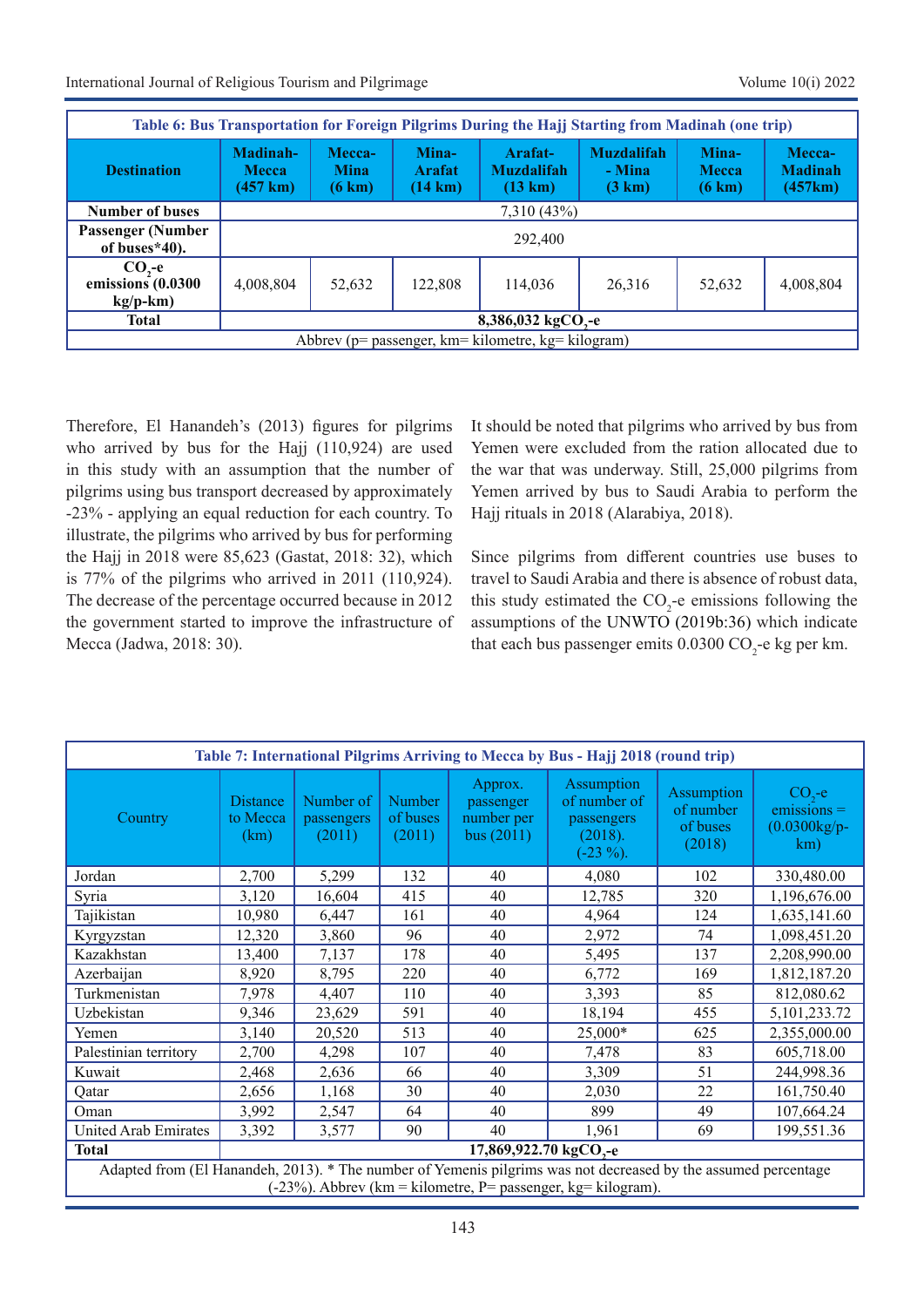International Journal of Religious Tourism and Pilgrimage Volume 10(i) 2022

| Table 6: Bus Transportation for Foreign Pilgrims During the Hajj Starting from Madinah (one trip) |                                                |                                           |                                             |                                                   |                                       |                                           |                                     |
|---------------------------------------------------------------------------------------------------|------------------------------------------------|-------------------------------------------|---------------------------------------------|---------------------------------------------------|---------------------------------------|-------------------------------------------|-------------------------------------|
| <b>Destination</b>                                                                                | Madinah-<br><b>Mecca</b><br>$(457 \text{ km})$ | Mecca-<br><b>Mina</b><br>$(6 \text{ km})$ | Mina-<br><b>Arafat</b><br>$(14 \text{ km})$ | Arafat-<br><b>Muzdalifah</b><br>$(13 \text{ km})$ | <b>Muzdalifah</b><br>- Mina<br>(3 km) | Mina-<br><b>Mecca</b><br>$(6 \text{ km})$ | Mecca-<br><b>Madinah</b><br>(457km) |
| <b>Number of buses</b>                                                                            |                                                | 7,310 (43%)                               |                                             |                                                   |                                       |                                           |                                     |
| <b>Passenger (Number</b><br>of buses $*40$ ).                                                     |                                                | 292,400                                   |                                             |                                                   |                                       |                                           |                                     |
| $COz - e$<br>emissions (0.0300<br>$kg/p-km)$                                                      | 4,008,804                                      | 52,632                                    | 122,808                                     | 114,036                                           | 26,316                                | 52,632                                    | 4,008,804                           |
| <b>Total</b>                                                                                      |                                                | 8,386,032 kgCO <sub>2</sub> -e            |                                             |                                                   |                                       |                                           |                                     |
| Abbrev (p= passenger, km= kilometre, kg= kilogram)                                                |                                                |                                           |                                             |                                                   |                                       |                                           |                                     |

Therefore, El Hanandeh's (2013) figures for pilgrims who arrived by bus for the Hajj (110,924) are used in this study with an assumption that the number of pilgrims using bus transport decreased by approximately -23% - applying an equal reduction for each country. To illustrate, the pilgrims who arrived by bus for performing the Hajj in 2018 were 85,623 (Gastat, 2018: 32), which is 77% of the pilgrims who arrived in 2011 (110,924). The decrease of the percentage occurred because in 2012 the government started to improve the infrastructure of Mecca (Jadwa, 2018: 30).

It should be noted that pilgrims who arrived by bus from Yemen were excluded from the ration allocated due to the war that was underway. Still, 25,000 pilgrims from Yemen arrived by bus to Saudi Arabia to perform the Hajj rituals in 2018 (Alarabiya, 2018).

Since pilgrims from different countries use buses to travel to Saudi Arabia and there is absence of robust data, this study estimated the  $CO_2$ -e emissions following the assumptions of the UNWTO (2019b:36) which indicate that each bus passenger emits  $0.0300 \text{ CO}_2$ -e kg per km.

| Table 7: International Pilgrims Arriving to Mecca by Bus - Hajj 2018 (round trip) |                                                                                                                                                                                   |                                   |                              |                                                    |                                                                    |                                               |                                                     |  |
|-----------------------------------------------------------------------------------|-----------------------------------------------------------------------------------------------------------------------------------------------------------------------------------|-----------------------------------|------------------------------|----------------------------------------------------|--------------------------------------------------------------------|-----------------------------------------------|-----------------------------------------------------|--|
| Country                                                                           | <b>Distance</b><br>to Mecca<br>(km)                                                                                                                                               | Number of<br>passengers<br>(2011) | Number<br>of buses<br>(2011) | Approx.<br>passenger<br>number per<br>bus $(2011)$ | Assumption<br>of number of<br>passengers<br>(2018).<br>$(-23\%)$ . | Assumption<br>of number<br>of buses<br>(2018) | $CO2 - e$<br>$emissions =$<br>$(0.0300kg/p-$<br>km) |  |
| Jordan                                                                            | 2,700                                                                                                                                                                             | 5,299                             | 132                          | 40                                                 | 4,080                                                              | 102                                           | 330,480.00                                          |  |
| Syria                                                                             | 3,120                                                                                                                                                                             | 16,604                            | 415                          | 40                                                 | 12,785                                                             | 320                                           | 1,196,676.00                                        |  |
| Tajikistan                                                                        | 10,980                                                                                                                                                                            | 6,447                             | 161                          | 40                                                 | 4,964                                                              | 124                                           | 1,635,141.60                                        |  |
| Kyrgyzstan                                                                        | 12,320                                                                                                                                                                            | 3,860                             | 96                           | 40                                                 | 2,972                                                              | 74                                            | 1,098,451.20                                        |  |
| Kazakhstan                                                                        | 13,400                                                                                                                                                                            | 7,137                             | 178                          | 40                                                 | 5,495                                                              | 137                                           | 2,208,990.00                                        |  |
| Azerbaijan                                                                        | 8,920                                                                                                                                                                             | 8,795                             | 220                          | 40                                                 | 6,772                                                              | 169                                           | 1,812,187.20                                        |  |
| Turkmenistan                                                                      | 7,978                                                                                                                                                                             | 4,407                             | 110                          | 40                                                 | 3,393                                                              | 85                                            | 812,080.62                                          |  |
| Uzbekistan                                                                        | 9,346                                                                                                                                                                             | 23,629                            | 591                          | 40                                                 | 18,194                                                             | 455                                           | 5, 101, 233. 72                                     |  |
| Yemen                                                                             | 3,140                                                                                                                                                                             | 20,520                            | 513                          | 40                                                 | 25,000*                                                            | 625                                           | 2,355,000.00                                        |  |
| Palestinian territory                                                             | 2,700                                                                                                                                                                             | 4,298                             | 107                          | 40                                                 | 7,478                                                              | 83                                            | 605,718.00                                          |  |
| Kuwait                                                                            | 2,468                                                                                                                                                                             | 2,636                             | 66                           | 40                                                 | 3,309                                                              | 51                                            | 244,998.36                                          |  |
| Qatar                                                                             | 2,656                                                                                                                                                                             | 1,168                             | 30                           | 40                                                 | 2,030                                                              | 22                                            | 161,750.40                                          |  |
| Oman                                                                              | 3,992                                                                                                                                                                             | 2,547                             | 64                           | 40                                                 | 899                                                                | 49                                            | 107,664.24                                          |  |
| United Arab Emirates                                                              | 3,392                                                                                                                                                                             | 3,577                             | 90                           | 40                                                 | 1.961                                                              | 69                                            | 199,551.36                                          |  |
| <b>Total</b>                                                                      | 17,869,922.70 kgCO <sub>3</sub> -e                                                                                                                                                |                                   |                              |                                                    |                                                                    |                                               |                                                     |  |
|                                                                                   | Adapted from (El Hanandeh, 2013). * The number of Yemenis pilgrims was not decreased by the assumed percentage<br>$(-23%)$ . Abbrev (km = kilometre, P= passenger, kg= kilogram). |                                   |                              |                                                    |                                                                    |                                               |                                                     |  |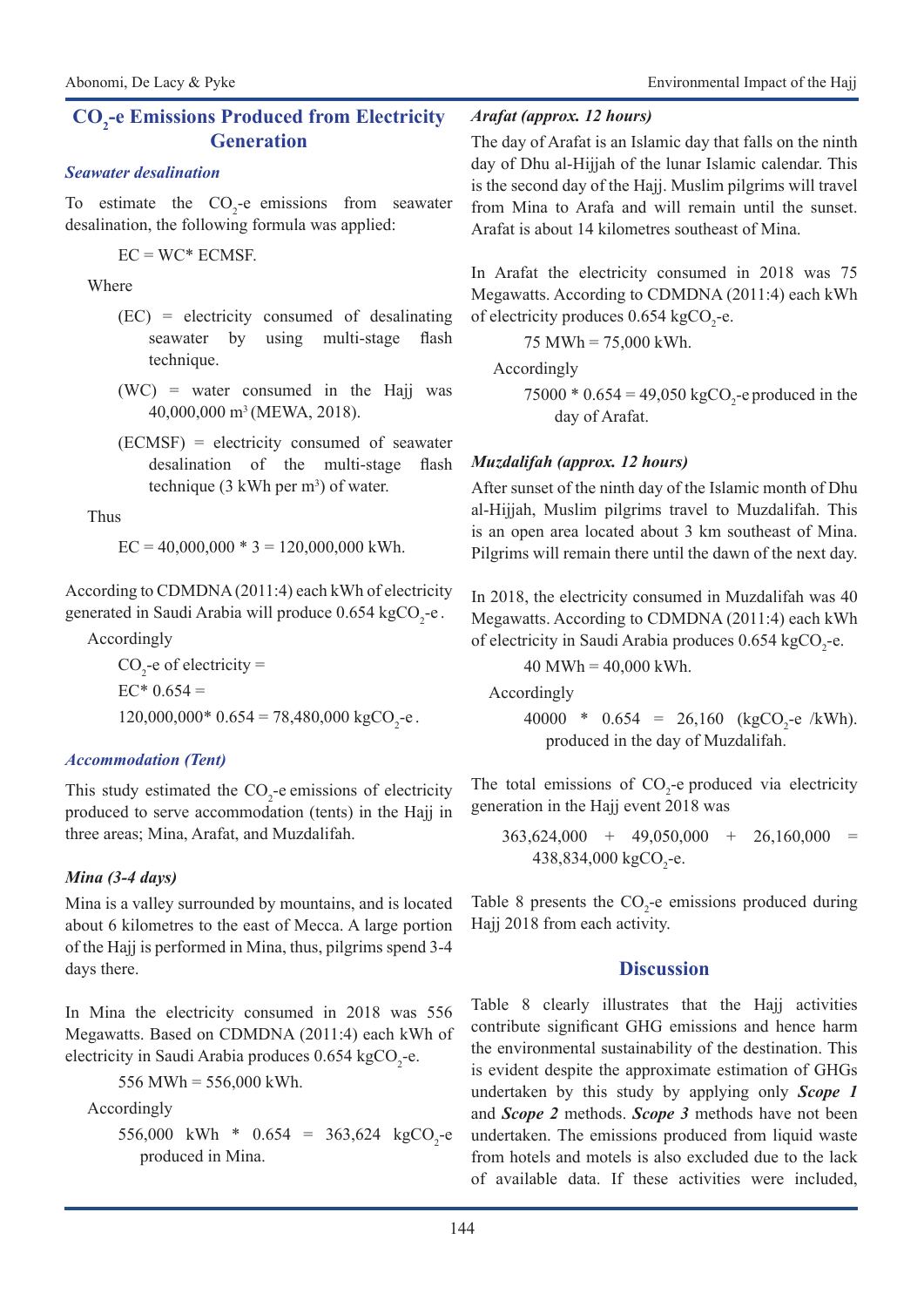## **CO2 -e Emissions Produced from Electricity Generation**

#### *Seawater desalination*

To estimate the  $CO<sub>2</sub>$ -e emissions from seawater desalination, the following formula was applied:

 $EC = WC*ECMSE$ .

Where

- (EC) = electricity consumed of desalinating seawater by using multi-stage flash technique.
- (WC) = water consumed in the Hajj was 40,000,000 m3 (MEWA, 2018).
- (ECMSF) = electricity consumed of seawater desalination of the multi-stage flash technique  $(3 \text{ kWh per m}^3)$  of water.

Thus

 $EC = 40,000,000 * 3 = 120,000,000$  kWh.

According to CDMDNA (2011:4) each kWh of electricity generated in Saudi Arabia will produce 0.654 kgCO<sub>2</sub>-e.

Accordingly

 $CO<sub>2</sub>$ -e of electricity =  $EC^*$  0.654 =  $120,000,000*0.654 = 78,480,000 \text{ kgCO}_2\text{-e}.$ 

## *Accommodation (Tent)*

This study estimated the  $CO_2$ -e emissions of electricity produced to serve accommodation (tents) in the Hajj in three areas; Mina, Arafat, and Muzdalifah.

## *Mina (3-4 days)*

Mina is a valley surrounded by mountains, and is located about 6 kilometres to the east of Mecca. A large portion of the Hajj is performed in Mina, thus, pilgrims spend 3-4 days there.

In Mina the electricity consumed in 2018 was 556 Megawatts. Based on CDMDNA (2011:4) each kWh of electricity in Saudi Arabia produces  $0.654 \text{ kgCO}_2$ -e.

556 MWh = 556,000 kWh.

Accordingly

556,000 kWh \* 0.654 = 363,624 kgCO<sub>2</sub>-e produced in Mina.

### *Arafat (approx. 12 hours)*

The day of Arafat is an Islamic day that falls on the ninth day of Dhu al-Hijjah of the lunar Islamic calendar. This is the second day of the Hajj. Muslim pilgrims will travel from Mina to Arafa and will remain until the sunset. Arafat is about 14 kilometres southeast of Mina.

In Arafat the electricity consumed in 2018 was 75 Megawatts. According to CDMDNA (2011:4) each kWh of electricity produces  $0.654 \text{ kgCO}_2$ -e.

75 MWh = 75,000 kWh.

Accordingly

75000  $*$  0.654 = 49,050 kgCO<sub>2</sub>-e produced in the day of Arafat.

## *Muzdalifah (approx. 12 hours)*

After sunset of the ninth day of the Islamic month of Dhu al-Hijjah, Muslim pilgrims travel to Muzdalifah. This is an open area located about 3 km southeast of Mina. Pilgrims will remain there until the dawn of the next day.

In 2018, the electricity consumed in Muzdalifah was 40 Megawatts. According to CDMDNA (2011:4) each kWh of electricity in Saudi Arabia produces  $0.654 \text{ kgCO}_2$ -e.

 $40$  MWh =  $40,000$  kWh.

Accordingly

40000 \*  $0.654 = 26{,}160 \text{ (kgCO}_2\text{-e/kWh)}.$ produced in the day of Muzdalifah.

The total emissions of  $CO_2$ -e produced via electricity generation in the Hajj event 2018 was

$$
363,624,000 + 49,050,000 + 26,160,000 = 438,834,000 \text{ kgCO}_2 - e.
$$

Table 8 presents the  $CO<sub>2</sub>$ -e emissions produced during Hajj 2018 from each activity.

## **Discussion**

Table 8 clearly illustrates that the Hajj activities contribute significant GHG emissions and hence harm the environmental sustainability of the destination. This is evident despite the approximate estimation of GHGs undertaken by this study by applying only *Scope 1* and *Scope 2* methods. *Scope 3* methods have not been undertaken. The emissions produced from liquid waste from hotels and motels is also excluded due to the lack of available data. If these activities were included,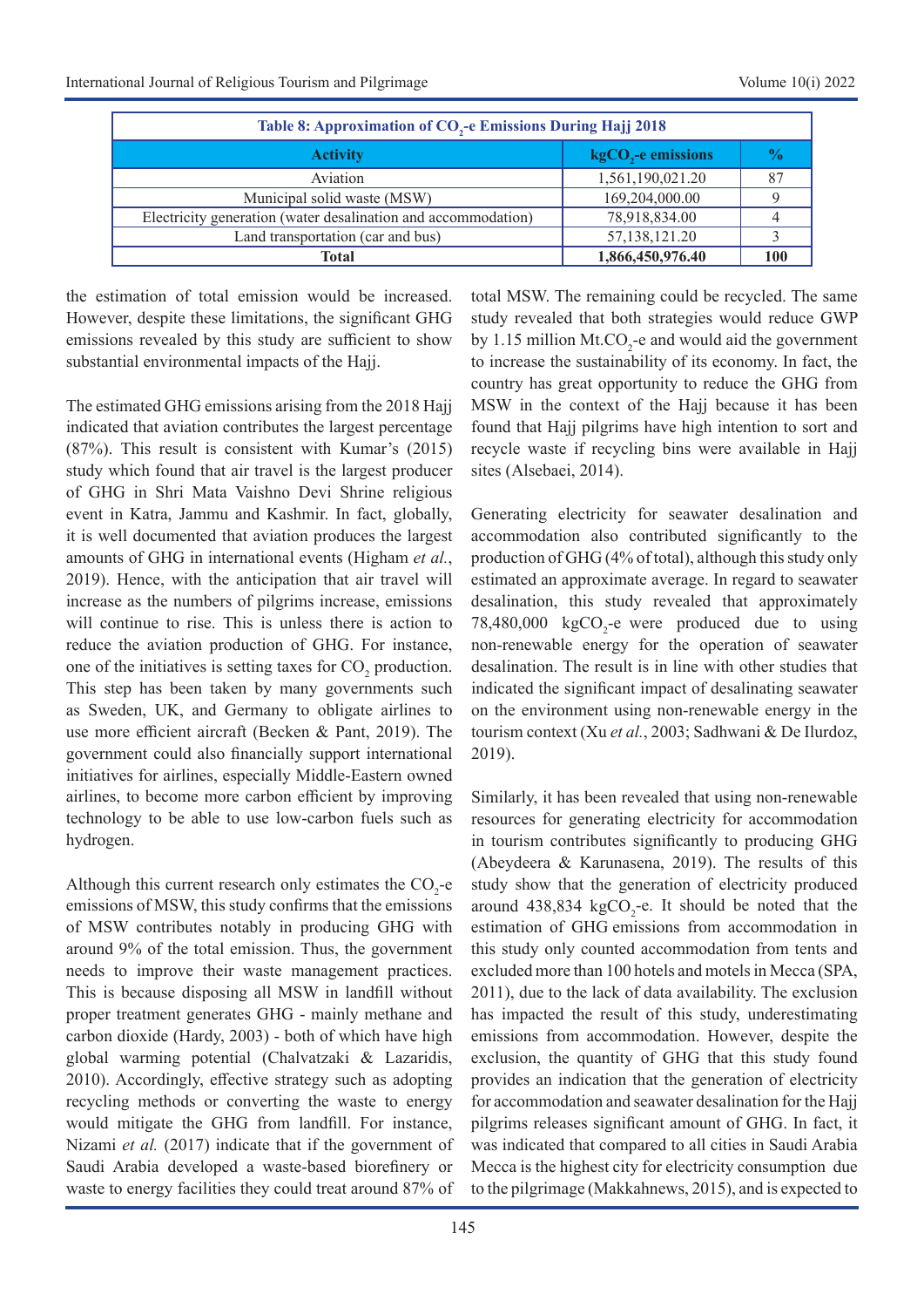| Table 8: Approximation of CO <sub>2</sub> -e Emissions During Hajj 2018 |                                |                |  |  |  |  |  |  |
|-------------------------------------------------------------------------|--------------------------------|----------------|--|--|--|--|--|--|
| <b>Activity</b>                                                         | kgCO <sub>2</sub> -e emissions | $\mathbf{v}_0$ |  |  |  |  |  |  |
| Aviation                                                                | 1,561,190,021.20               |                |  |  |  |  |  |  |
| Municipal solid waste (MSW)                                             | 169,204,000.00                 |                |  |  |  |  |  |  |
| Electricity generation (water desalination and accommodation)           | 78,918,834.00                  |                |  |  |  |  |  |  |
| Land transportation (car and bus)                                       | 57,138,121.20                  |                |  |  |  |  |  |  |
| Total                                                                   | 1,866,450,976.40               | 100            |  |  |  |  |  |  |

the estimation of total emission would be increased. However, despite these limitations, the significant GHG emissions revealed by this study are sufficient to show substantial environmental impacts of the Hajj.

The estimated GHG emissions arising from the 2018 Hajj indicated that aviation contributes the largest percentage (87%). This result is consistent with Kumar's (2015) study which found that air travel is the largest producer of GHG in Shri Mata Vaishno Devi Shrine religious event in Katra, Jammu and Kashmir. In fact, globally, it is well documented that aviation produces the largest amounts of GHG in international events (Higham *et al.*, 2019). Hence, with the anticipation that air travel will increase as the numbers of pilgrims increase, emissions will continue to rise. This is unless there is action to reduce the aviation production of GHG. For instance, one of the initiatives is setting taxes for  $CO_2$  production. This step has been taken by many governments such as Sweden, UK, and Germany to obligate airlines to use more efficient aircraft (Becken & Pant, 2019). The government could also financially support international initiatives for airlines, especially Middle-Eastern owned airlines, to become more carbon efficient by improving technology to be able to use low-carbon fuels such as hydrogen.

Although this current research only estimates the  $CO_2$ -e emissions of MSW, this study confirms that the emissions of MSW contributes notably in producing GHG with around 9% of the total emission. Thus, the government needs to improve their waste management practices. This is because disposing all MSW in landfill without proper treatment generates GHG - mainly methane and carbon dioxide (Hardy, 2003) - both of which have high global warming potential (Chalvatzaki & Lazaridis, 2010). Accordingly, effective strategy such as adopting recycling methods or converting the waste to energy would mitigate the GHG from landfill. For instance, Nizami *et al.* (2017) indicate that if the government of Saudi Arabia developed a waste-based biorefinery or waste to energy facilities they could treat around 87% of

total MSW. The remaining could be recycled. The same study revealed that both strategies would reduce GWP by 1.15 million  $Mt. CO_2$ -e and would aid the government to increase the sustainability of its economy. In fact, the country has great opportunity to reduce the GHG from MSW in the context of the Hajj because it has been found that Hajj pilgrims have high intention to sort and recycle waste if recycling bins were available in Hajj sites (Alsebaei, 2014).

Generating electricity for seawater desalination and accommodation also contributed significantly to the production of GHG (4% of total), although this study only estimated an approximate average. In regard to seawater desalination, this study revealed that approximately 78,480,000  $kgCO<sub>2</sub>$ -e were produced due to using non-renewable energy for the operation of seawater desalination. The result is in line with other studies that indicated the significant impact of desalinating seawater on the environment using non-renewable energy in the tourism context (Xu *et al.*, 2003; Sadhwani & De Ilurdoz, 2019).

Similarly, it has been revealed that using non-renewable resources for generating electricity for accommodation in tourism contributes significantly to producing GHG (Abeydeera & Karunasena, 2019). The results of this study show that the generation of electricity produced around 438,834 kgCO<sub>2</sub>-e. It should be noted that the estimation of GHG emissions from accommodation in this study only counted accommodation from tents and excluded more than 100 hotels and motels in Mecca (SPA, 2011), due to the lack of data availability. The exclusion has impacted the result of this study, underestimating emissions from accommodation. However, despite the exclusion, the quantity of GHG that this study found provides an indication that the generation of electricity for accommodation and seawater desalination for the Hajj pilgrims releases significant amount of GHG. In fact, it was indicated that compared to all cities in Saudi Arabia Mecca is the highest city for electricity consumption due to the pilgrimage (Makkahnews, 2015), and is expected to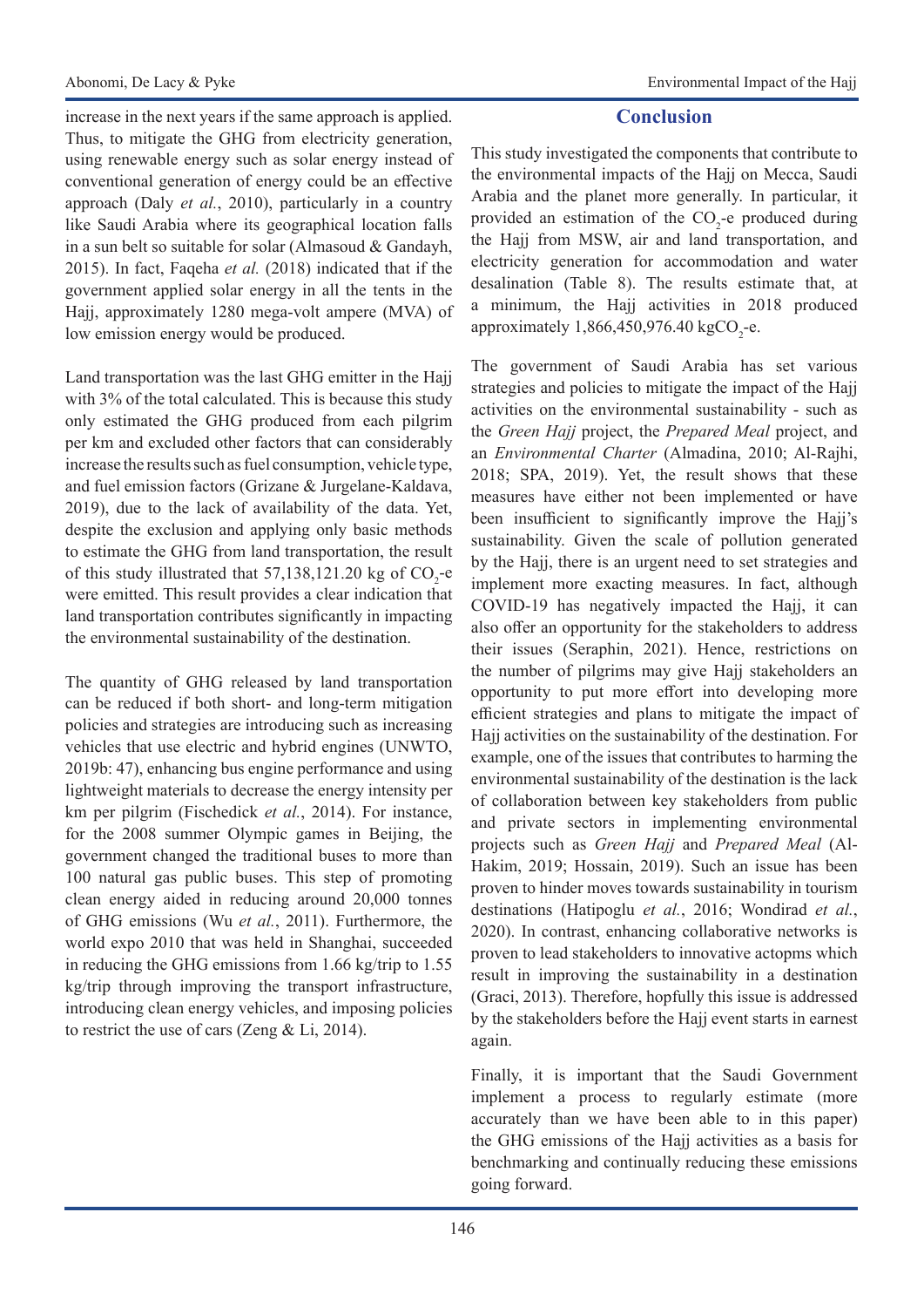increase in the next years if the same approach is applied. Thus, to mitigate the GHG from electricity generation, using renewable energy such as solar energy instead of conventional generation of energy could be an effective approach (Daly *et al.*, 2010), particularly in a country like Saudi Arabia where its geographical location falls in a sun belt so suitable for solar (Almasoud & Gandayh, 2015). In fact, Faqeha *et al.* (2018) indicated that if the government applied solar energy in all the tents in the Hajj, approximately 1280 mega-volt ampere (MVA) of low emission energy would be produced.

Land transportation was the last GHG emitter in the Hajj with 3% of the total calculated. This is because this study only estimated the GHG produced from each pilgrim per km and excluded other factors that can considerably increase the results such as fuel consumption, vehicle type, and fuel emission factors (Grizane & Jurgelane-Kaldava, 2019), due to the lack of availability of the data. Yet, despite the exclusion and applying only basic methods to estimate the GHG from land transportation, the result of this study illustrated that  $57,138,121.20$  kg of  $CO_2$ -e were emitted. This result provides a clear indication that land transportation contributes significantly in impacting the environmental sustainability of the destination.

The quantity of GHG released by land transportation can be reduced if both short- and long-term mitigation policies and strategies are introducing such as increasing vehicles that use electric and hybrid engines (UNWTO, 2019b: 47), enhancing bus engine performance and using lightweight materials to decrease the energy intensity per km per pilgrim (Fischedick *et al.*, 2014). For instance, for the 2008 summer Olympic games in Beijing, the government changed the traditional buses to more than 100 natural gas public buses. This step of promoting clean energy aided in reducing around 20,000 tonnes of GHG emissions (Wu *et al.*, 2011). Furthermore, the world expo 2010 that was held in Shanghai, succeeded in reducing the GHG emissions from 1.66 kg/trip to 1.55 kg/trip through improving the transport infrastructure, introducing clean energy vehicles, and imposing policies to restrict the use of cars (Zeng & Li, 2014).

## **Conclusion**

This study investigated the components that contribute to the environmental impacts of the Hajj on Mecca, Saudi Arabia and the planet more generally. In particular, it provided an estimation of the  $CO_2$ -e produced during the Hajj from MSW, air and land transportation, and electricity generation for accommodation and water desalination (Table 8). The results estimate that, at a minimum, the Hajj activities in 2018 produced approximately  $1,866,450,976.40 \text{ kgCO}_{2}$ -e.

The government of Saudi Arabia has set various strategies and policies to mitigate the impact of the Hajj activities on the environmental sustainability - such as the *Green Hajj* project, the *Prepared Meal* project, and an *Environmental Charter* (Almadina, 2010; Al-Rajhi, 2018; SPA, 2019). Yet, the result shows that these measures have either not been implemented or have been insufficient to significantly improve the Hajj's sustainability. Given the scale of pollution generated by the Hajj, there is an urgent need to set strategies and implement more exacting measures. In fact, although COVID-19 has negatively impacted the Hajj, it can also offer an opportunity for the stakeholders to address their issues (Seraphin, 2021). Hence, restrictions on the number of pilgrims may give Hajj stakeholders an opportunity to put more effort into developing more efficient strategies and plans to mitigate the impact of Hajj activities on the sustainability of the destination. For example, one of the issues that contributes to harming the environmental sustainability of the destination is the lack of collaboration between key stakeholders from public and private sectors in implementing environmental projects such as *Green Hajj* and *Prepared Meal* (Al-Hakim, 2019; Hossain, 2019). Such an issue has been proven to hinder moves towards sustainability in tourism destinations (Hatipoglu *et al.*, 2016; Wondirad *et al.*, 2020). In contrast, enhancing collaborative networks is proven to lead stakeholders to innovative actopms which result in improving the sustainability in a destination (Graci, 2013). Therefore, hopfully this issue is addressed by the stakeholders before the Hajj event starts in earnest again.

Finally, it is important that the Saudi Government implement a process to regularly estimate (more accurately than we have been able to in this paper) the GHG emissions of the Hajj activities as a basis for benchmarking and continually reducing these emissions going forward.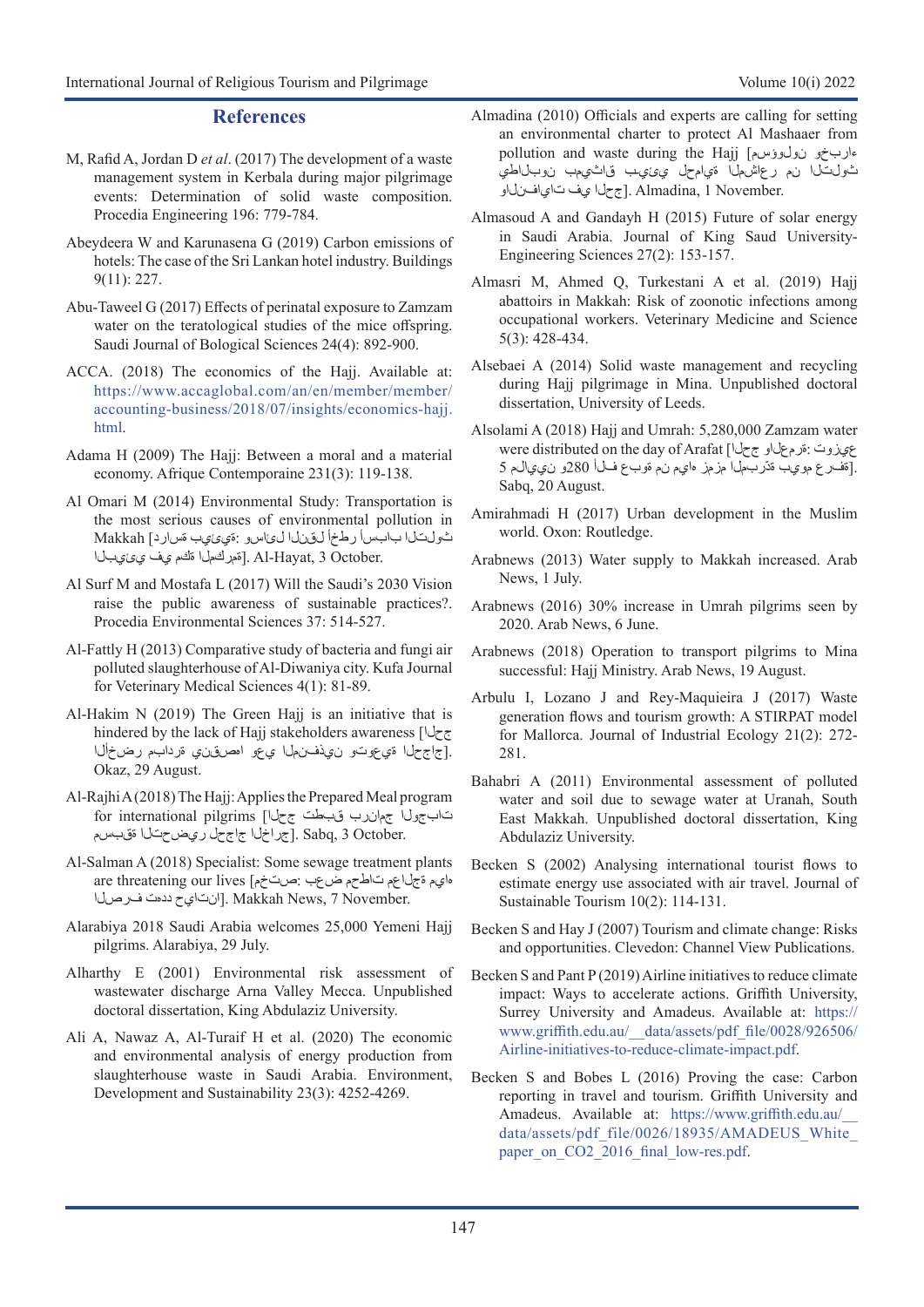#### **References**

- M, Rafid A, Jordan D *et al*. (2017) The development of a waste management system in Kerbala during major pilgrimage events: Determination of solid waste composition. Procedia Engineering 196: 779-784.
- Abeydeera W and Karunasena G (2019) Carbon emissions of hotels: The case of the Sri Lankan hotel industry. Buildings 9(11): 227.
- Abu-Taweel G (2017) Effects of perinatal exposure to Zamzam water on the teratological studies of the mice offspring. Saudi Journal of Bological Sciences 24(4): 892-900.
- ACCA. (2018) The economics of the Hajj. Available at: [https://www.accaglobal.com/an/en/member/member/](https://www.accaglobal.com/an/en/member/member/accounting-business/2018/07/insights/economics-hajj.html) [accounting-business/2018/07/insights/economics-hajj.](https://www.accaglobal.com/an/en/member/member/accounting-business/2018/07/insights/economics-hajj.html) [html](https://www.accaglobal.com/an/en/member/member/accounting-business/2018/07/insights/economics-hajj.html).
- Adama H (2009) The Hajj: Between a moral and a material economy. Afrique Contemporaine 231(3): 119-138.
- Al Omari M (2014) Environmental Study: Transportation is the most serious causes of environmental pollution in ثولتلا بابسأ رطخأ لقنلا لئاسو :ةيئيب ةسارد] Makkah . Al-Hayat, 3 October . [قمر لحمل ا ةكم يف ي يئيبل
- Al Surf M and Mostafa L (2017) Will the Saudi's 2030 Vision raise the public awareness of sustainable practices?. Procedia Environmental Sciences 37: 514-527.
- Al-Fattly H (2013) Comparative study of bacteria and fungi air polluted slaughterhouse of Al-Diwaniya city. Kufa Journal for Veterinary Medical Sciences 4(1): 81-89.
- Al-Hakim N (2019) The Green Hajj is an initiative that is hindered by the lack of Hajj stakeholders awareness [جحلا .[جاجحلا ةيعوتو نيذفنملا يعو اهصقني ةردابم رضخألا Okaz, 29 August.
- Al-Rajhi A (2018) The Hajj: Applies the Prepared Meal program تابجول اجمان رب قبطت جحلا] for international pilgrims .Sabq, 3 October جراخل اجاج حل ري ض حتل ا ةقبسم
- Al-Salman A (2018) Specialist: Some sewage treatment plants هايم ةجلاعم تاطحم ضعب :صتخم] lives our threatening are انتايح ددمت فرصلاً. Makkah News, 7 November.
- Alarabiya 2018 Saudi Arabia welcomes 25,000 Yemeni Hajj pilgrims. Alarabiya, 29 July.
- Alharthy E (2001) Environmental risk assessment of wastewater discharge Arna Valley Mecca. Unpublished doctoral dissertation, King Abdulaziz University.
- Ali A, Nawaz A, Al-Turaif H et al. (2020) The economic and environmental analysis of energy production from slaughterhouse waste in Saudi Arabia. Environment, Development and Sustainability 23(3): 4252-4269.
- Almadina (2010) Officials and experts are calling for setting an environmental charter to protect Al Mashaaer from pollution and waste during the Hajj [نولوؤسم ءاربخو ثولتلا نم رعاشملا ةيامحل يئيـب قاثيمب نوبلاطي .Almadina, 1 November جحل يف تاي افن ل
- Almasoud A and Gandayh H (2015) Future of solar energy in Saudi Arabia. Journal of King Saud University-Engineering Sciences 27(2): 153-157.
- Almasri M, Ahmed Q, Turkestani A et al. (2019) Hajj abattoirs in Makkah: Risk of zoonotic infections among occupational workers. Veterinary Medicine and Science 5(3): 428-434.
- Alsebaei A (2014) Solid waste management and recycling during Hajj pilgrimage in Mina. Unpublished doctoral dissertation, University of Leeds.
- Alsolami A (2018) Hajj and Umrah: 5,280,000 Zamzam water were distributed on the day of Arafat [جحلا ةرمعلاو: عيزوت .[ةفرع مويب ةدّربملا مزمز هايم نم ةوبع فلأ 280و نييالم 5 Sabq, 20 August.
- Amirahmadi H (2017) Urban development in the Muslim world. Oxon: Routledge.
- Arabnews (2013) Water supply to Makkah increased. Arab News, 1 July.
- Arabnews (2016) 30% increase in Umrah pilgrims seen by 2020. Arab News, 6 June.
- Arabnews (2018) Operation to transport pilgrims to Mina successful: Hajj Ministry. Arab News, 19 August.
- Arbulu I, Lozano J and Rey‐Maquieira J (2017) Waste generation flows and tourism growth: A STIRPAT model for Mallorca. Journal of Industrial Ecology 21(2): 272- 281.
- Bahabri A (2011) Environmental assessment of polluted water and soil due to sewage water at Uranah, South East Makkah. Unpublished doctoral dissertation, King Abdulaziz University.
- Becken S (2002) Analysing international tourist flows to estimate energy use associated with air travel. Journal of Sustainable Tourism 10(2): 114-131.
- Becken S and Hay J (2007) Tourism and climate change: Risks and opportunities. Clevedon: Channel View Publications.
- Becken S and Pant P (2019) Airline initiatives to reduce climate impact: Ways to accelerate actions. Griffith University, Surrey University and Amadeus. Available at: [https://](https://www.griffith.edu.au/__data/assets/pdf_file/0028/926506/Airline-initiatives-to-reduce-climate-impact.pdf) [www.griffith.edu.au/\\_\\_data/assets/pdf\\_file/0028/926506/](https://www.griffith.edu.au/__data/assets/pdf_file/0028/926506/Airline-initiatives-to-reduce-climate-impact.pdf) [Airline-initiatives-to-reduce-climate-impact.pdf.](https://www.griffith.edu.au/__data/assets/pdf_file/0028/926506/Airline-initiatives-to-reduce-climate-impact.pdf)
- Becken S and Bobes L (2016) Proving the case: Carbon reporting in travel and tourism. Griffith University and Amadeus. Available at: [https://www.griffith.edu.au/\\_\\_](https://www.griffith.edu.au/__data/assets/pdf_file/0026/18935/AMADEUS_White_paper_on_CO2_2016_final_low-res.pdf) data/assets/pdf\_file/0026/18935/AMADEUS\_White [paper\\_on\\_CO2\\_2016\\_final\\_low-res.pdf](https://www.griffith.edu.au/__data/assets/pdf_file/0026/18935/AMADEUS_White_paper_on_CO2_2016_final_low-res.pdf).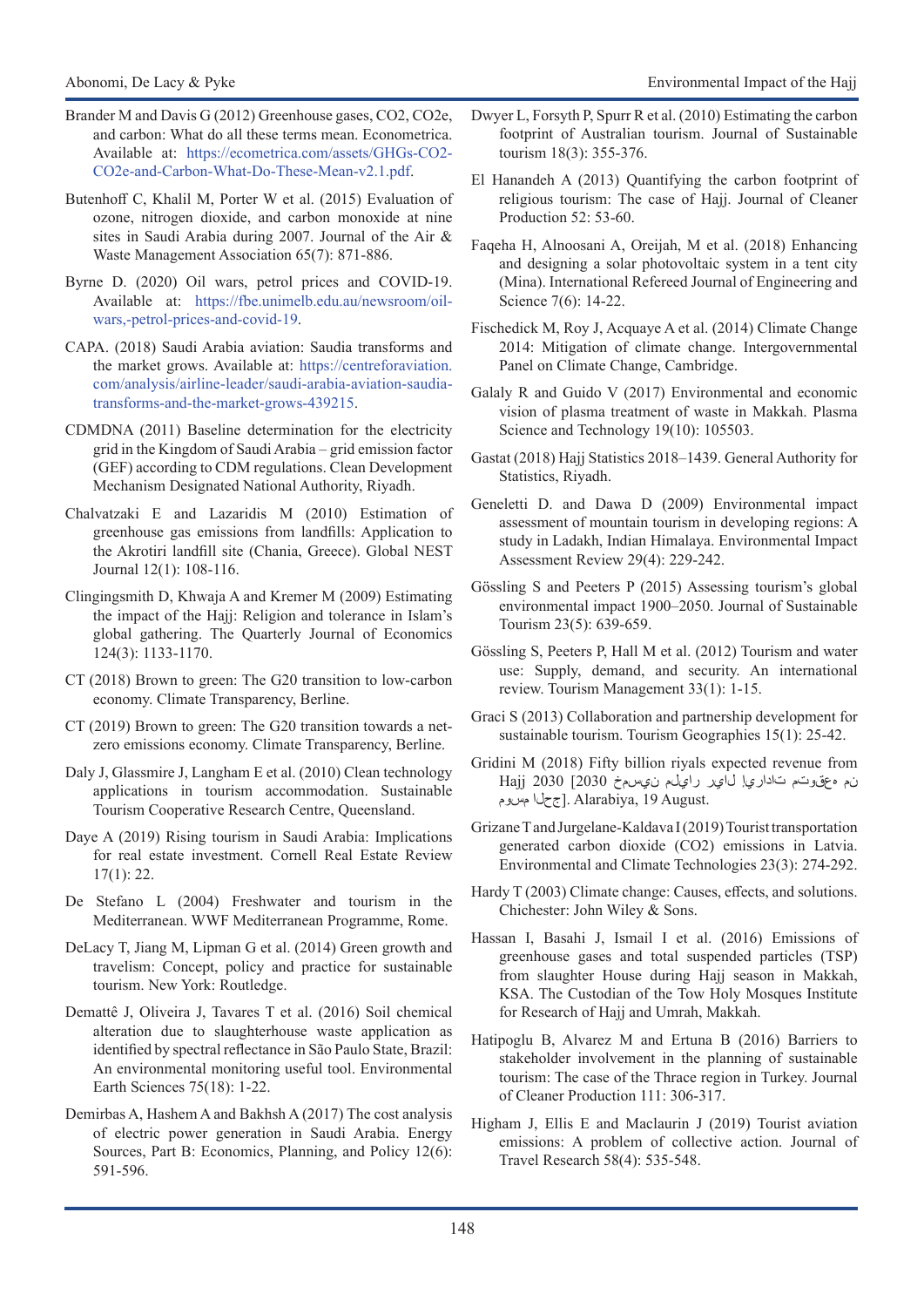- Brander M and Davis G (2012) Greenhouse gases, CO2, CO2e, and carbon: What do all these terms mean. Econometrica. Available at: [https://ecometrica.com/assets/GHGs-CO2-](https://ecometrica.com/assets/GHGs-CO2-CO2e-and-Carbon-What-Do-These-Mean-v2.1.pdf) [CO2e-and-Carbon-What-Do-These-Mean-v2.1.pdf](https://ecometrica.com/assets/GHGs-CO2-CO2e-and-Carbon-What-Do-These-Mean-v2.1.pdf).
- Butenhoff C, Khalil M, Porter W et al. (2015) Evaluation of ozone, nitrogen dioxide, and carbon monoxide at nine sites in Saudi Arabia during 2007. Journal of the Air & Waste Management Association 65(7): 871-886.
- Byrne D. (2020) Oil wars, petrol prices and COVID-19. Available at: [https://fbe.unimelb.edu.au/newsroom/oil](https://fbe.unimelb.edu.au/newsroom/oil-wars,-petrol-prices-and-covid-19)[wars,-petrol-prices-and-covid-19.](https://fbe.unimelb.edu.au/newsroom/oil-wars,-petrol-prices-and-covid-19)
- CAPA. (2018) Saudi Arabia aviation: Saudia transforms and the market grows. Available at: [https://centreforaviation.](https://centreforaviation.com/analysis/airline-leader/saudi-arabia-aviation-saudia-transforms-and-the-market-grows-439215) [com/analysis/airline-leader/saudi-arabia-aviation-saudia](https://centreforaviation.com/analysis/airline-leader/saudi-arabia-aviation-saudia-transforms-and-the-market-grows-439215)[transforms-and-the-market-grows-439215](https://centreforaviation.com/analysis/airline-leader/saudi-arabia-aviation-saudia-transforms-and-the-market-grows-439215).
- CDMDNA (2011) Baseline determination for the electricity grid in the Kingdom of Saudi Arabia – grid emission factor (GEF) according to CDM regulations. Clean Development Mechanism Designated National Authority, Riyadh.
- Chalvatzaki E and Lazaridis M (2010) Estimation of greenhouse gas emissions from landfills: Application to the Akrotiri landfill site (Chania, Greece). Global NEST Journal 12(1): 108-116.
- Clingingsmith D, Khwaja A and Kremer M (2009) Estimating the impact of the Hajj: Religion and tolerance in Islam's global gathering. The Quarterly Journal of Economics 124(3): 1133-1170.
- CT (2018) Brown to green: The G20 transition to low-carbon economy. Climate Transparency, Berline.
- CT (2019) Brown to green: The G20 transition towards a netzero emissions economy. Climate Transparency, Berline.
- Daly J, Glassmire J, Langham E et al. (2010) Clean technology applications in tourism accommodation. Sustainable Tourism Cooperative Research Centre, Queensland.
- Daye A (2019) Rising tourism in Saudi Arabia: Implications for real estate investment. Cornell Real Estate Review 17(1): 22.
- De Stefano L (2004) Freshwater and tourism in the Mediterranean. WWF Mediterranean Programme, Rome.
- DeLacy T, Jiang M, Lipman G et al. (2014) Green growth and travelism: Concept, policy and practice for sustainable tourism. New York: Routledge.
- Demattê J, Oliveira J, Tavares T et al. (2016) Soil chemical alteration due to slaughterhouse waste application as identified by spectral reflectance in São Paulo State, Brazil: An environmental monitoring useful tool. Environmental Earth Sciences 75(18): 1-22.
- Demirbas A, Hashem A and Bakhsh A (2017) The cost analysis of electric power generation in Saudi Arabia. Energy Sources, Part B: Economics, Planning, and Policy 12(6): 591-596.
- Dwyer L, Forsyth P, Spurr R et al. (2010) Estimating the carbon footprint of Australian tourism. Journal of Sustainable tourism 18(3): 355-376.
- El Hanandeh A (2013) Quantifying the carbon footprint of religious tourism: The case of Hajj. Journal of Cleaner Production 52: 53-60.
- Faqeha H, Alnoosani A, Oreijah, M et al. (2018) Enhancing and designing a solar photovoltaic system in a tent city (Mina). International Refereed Journal of Engineering and Science 7(6): 14-22.
- Fischedick M, Roy J, Acquaye A et al. (2014) Climate Change 2014: Mitigation of climate change. Intergovernmental Panel on Climate Change, Cambridge.
- Galaly R and Guido V (2017) Environmental and economic vision of plasma treatment of waste in Makkah. Plasma Science and Technology 19(10): 105503.
- Gastat (2018) Hajj Statistics 2018–1439. General Authority for Statistics, Riyadh.
- Geneletti D. and Dawa D (2009) Environmental impact assessment of mountain tourism in developing regions: A study in Ladakh, Indian Himalaya. Environmental Impact Assessment Review 29(4): 229-242.
- Gössling S and Peeters P (2015) Assessing tourism's global environmental impact 1900–2050. Journal of Sustainable Tourism 23(5): 639-659.
- Gössling S, Peeters P, Hall M et al. (2012) Tourism and water use: Supply, demand, and security. An international review. Tourism Management 33(1): 1-15.
- Graci S (2013) Collaboration and partnership development for sustainable tourism. Tourism Geographies 15(1): 25-42.
- Gridini M (2018) Fifty billion riyals expected revenue from نم هعقوتم تاداريإ لاير رايلم نيسمخ 2030] 2030 Hajj جحان ا مس وم Alarabiya, 19 August.
- Grizane T and Jurgelane-Kaldava I (2019) Tourist transportation generated carbon dioxide (CO2) emissions in Latvia. Environmental and Climate Technologies 23(3): 274-292.
- Hardy T (2003) Climate change: Causes, effects, and solutions. Chichester: John Wiley & Sons.
- Hassan I, Basahi J, Ismail I et al. (2016) Emissions of greenhouse gases and total suspended particles (TSP) from slaughter House during Hajj season in Makkah, KSA. The Custodian of the Tow Holy Mosques Institute for Research of Hajj and Umrah, Makkah.
- Hatipoglu B, Alvarez M and Ertuna B (2016) Barriers to stakeholder involvement in the planning of sustainable tourism: The case of the Thrace region in Turkey. Journal of Cleaner Production 111: 306-317.
- Higham J, Ellis E and Maclaurin J (2019) Tourist aviation emissions: A problem of collective action. Journal of Travel Research 58(4): 535-548.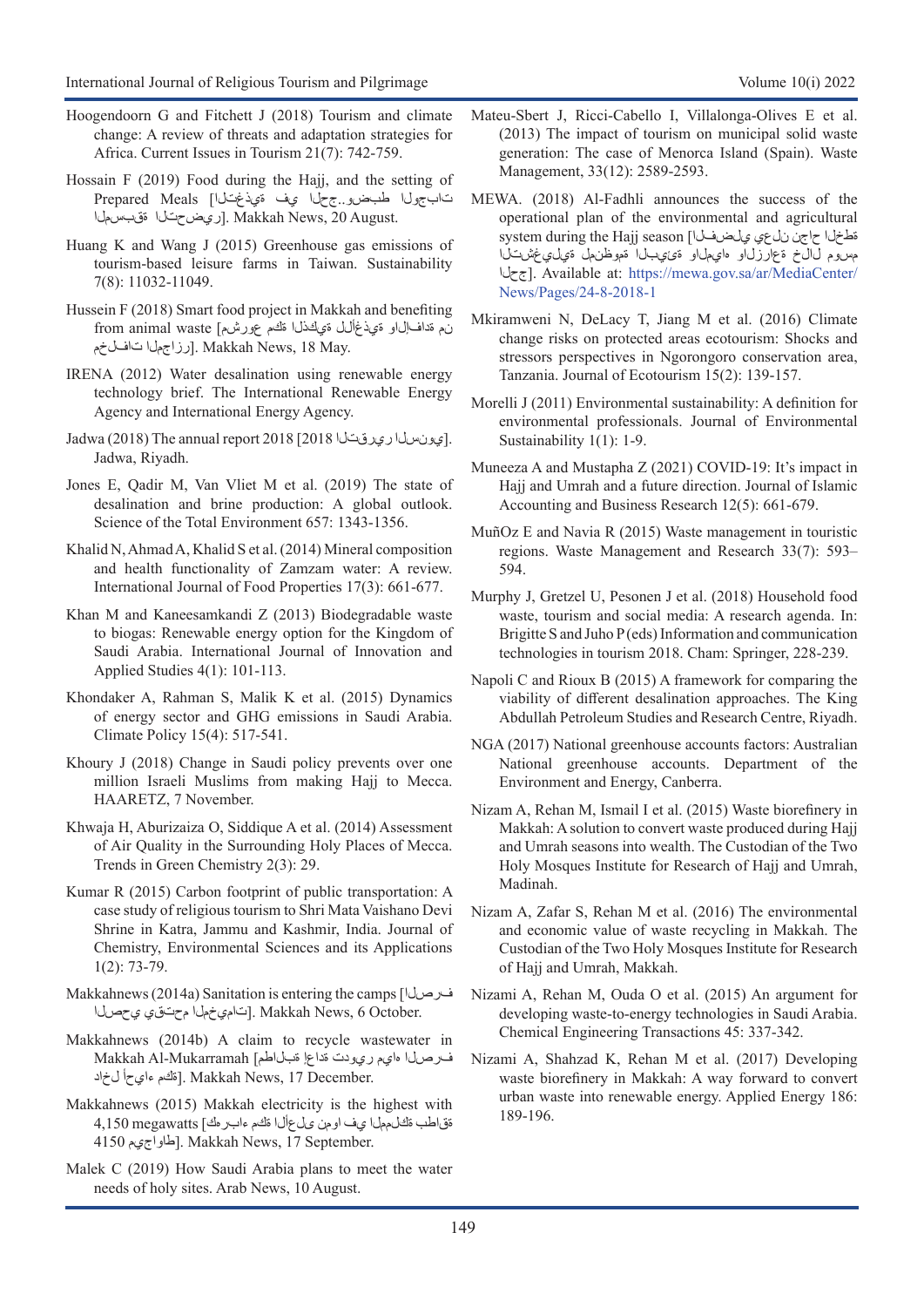- Hoogendoorn G and Fitchett J (2018) Tourism and climate change: A review of threats and adaptation strategies for Africa. Current Issues in Tourism 21(7): 742-759.
- Hossain F (2019) Food during the Hajj, and the setting of تابجولا طبضو..جحلا يف ةيذغتلا] Meals Prepared اريض حتلال مقبسمل
- Huang K and Wang J (2015) Greenhouse gas emissions of tourism-based leisure farms in Taiwan. Sustainability 7(8): 11032-11049.
- Hussein F (2018) Smart food project in Makkah and benefiting نم ةداف[ل]و ةيذغألل ةي&ذل اقحم عورشم] from animal waste رزاجملا [. الزاجمات]. Makkah News, 18 May.
- IRENA (2012) Water desalination using renewable energy technology brief. The International Renewable Energy Agency and International Energy Agency.
- Jadwa (2018) The annual report 2018 [2018 (2018). Jadwa, Riyadh.
- Jones E, Qadir M, Van Vliet M et al. (2019) The state of desalination and brine production: A global outlook. Science of the Total Environment 657: 1343-1356.
- Khalid N, Ahmad A, Khalid S et al. (2014) Mineral composition and health functionality of Zamzam water: A review. International Journal of Food Properties 17(3): 661-677.
- Khan M and Kaneesamkandi Z (2013) Biodegradable waste to biogas: Renewable energy option for the Kingdom of Saudi Arabia. International Journal of Innovation and Applied Studies 4(1): 101-113.
- Khondaker A, Rahman S, Malik K et al. (2015) Dynamics of energy sector and GHG emissions in Saudi Arabia. Climate Policy 15(4): 517-541.
- Khoury J (2018) Change in Saudi policy prevents over one million Israeli Muslims from making Hajj to Mecca. HAARETZ, 7 November.
- Khwaja H, Aburizaiza O, Siddique A et al. (2014) Assessment of Air Quality in the Surrounding Holy Places of Mecca. Trends in Green Chemistry 2(3): 29.
- Kumar R (2015) Carbon footprint of public transportation: A case study of religious tourism to Shri Mata Vaishano Devi Shrine in Katra, Jammu and Kashmir, India. Journal of Chemistry, Environmental Sciences and its Applications 1(2): 73-79.
- Makkahnews (2014a) Sanitation is entering the camps [فرصلا . Makkah News, 6 October. [تامي خمل محتقي يحصل ا
- Makkahnews (2014b) A claim to recycle wastewater in فرصلا هايم ريودت ةداعإ ةبلاطم] Mukarramah-Al Makkah .J. Makkah News, 17 December. [مَّكم ءاي حأ ل&حاد
- Makkahnews (2015) Makkah electricity is the highest with ةقاطب ةكلمملا يف اومن ىلعألا ةكم ءابرهك] megawatts 4,150 4150 طاواجيم). Makkah News, 17 September.
- Malek C (2019) How Saudi Arabia plans to meet the water needs of holy sites. Arab News, 10 August.
- Mateu-Sbert J, Ricci-Cabello I, Villalonga-Olives E et al. (2013) The impact of tourism on municipal solid waste generation: The case of Menorca Island (Spain). Waste Management, 33(12): 2589-2593.
- MEWA. (2018) Al-Fadhli announces the success of the operational plan of the environmental and agricultural system during the Hajj season [مطخلا حاجن نلعي علصف ل مسوم لالخ ةعارزلاو هايملاو ةئيبلا ةموظنمل ةيليغشتلا جحلا[. Available at: [https://mewa.gov.sa/ar/MediaCenter/](https://mewa.gov.sa/ar/MediaCenter/News/Pages/24-8-2018-1.aspx#:~:text=%D9%88%D8%A3%D9%83%D8%AF %22%D8%A7%D9%84%D9%81%D8%B6%D9%84%D9%8A%22 %D8%A3%D9%86 %D8%A7%D9%84%D9%85%D8%A4%D8%B3%D8%B3%D8%A9 %D8%A7%D9%84%D8%B9%D8%A7%D9%85%D8%A9,%D9%83%D9%8A%D8%B3 %D8%A7%D8%AD%D8%AA%D9%8A%D8%A7%D8%B7%D9%8A %D8%A8%D9%85%D8%B3%D8%AA%D9%88%D8%AF%D8%B9%D8%A7%D8%AA %D8%A7%D9%84%D8%B4%D8%B1%D9%83%D8%AA%D9%8A%D9%86 %D9%81%D9%8A) [News/Pages/24-8-2018-1](https://mewa.gov.sa/ar/MediaCenter/News/Pages/24-8-2018-1.aspx#:~:text=%D9%88%D8%A3%D9%83%D8%AF %22%D8%A7%D9%84%D9%81%D8%B6%D9%84%D9%8A%22 %D8%A3%D9%86 %D8%A7%D9%84%D9%85%D8%A4%D8%B3%D8%B3%D8%A9 %D8%A7%D9%84%D8%B9%D8%A7%D9%85%D8%A9,%D9%83%D9%8A%D8%B3 %D8%A7%D8%AD%D8%AA%D9%8A%D8%A7%D8%B7%D9%8A %D8%A8%D9%85%D8%B3%D8%AA%D9%88%D8%AF%D8%B9%D8%A7%D8%AA %D8%A7%D9%84%D8%B4%D8%B1%D9%83%D8%AA%D9%8A%D9%86 %D9%81%D9%8A)
- Mkiramweni N, DeLacy T, Jiang M et al. (2016) Climate change risks on protected areas ecotourism: Shocks and stressors perspectives in Ngorongoro conservation area, Tanzania. Journal of Ecotourism 15(2): 139-157.
- Morelli J (2011) Environmental sustainability: A definition for environmental professionals. Journal of Environmental Sustainability 1(1): 1-9.
- Muneeza A and Mustapha Z (2021) COVID-19: It's impact in Hajj and Umrah and a future direction. Journal of Islamic Accounting and Business Research 12(5): 661-679.
- MuñOz E and Navia R (2015) Waste management in touristic regions. Waste Management and Research 33(7): 593– 594.
- Murphy J, Gretzel U, Pesonen J et al. (2018) Household food waste, tourism and social media: A research agenda. In: Brigitte S and Juho P (eds) Information and communication technologies in tourism 2018. Cham: Springer, 228-239.
- Napoli C and Rioux B (2015) A framework for comparing the viability of different desalination approaches. The King Abdullah Petroleum Studies and Research Centre, Riyadh.
- NGA (2017) National greenhouse accounts factors: Australian National greenhouse accounts. Department of the Environment and Energy, Canberra.
- Nizam A, Rehan M, Ismail I et al. (2015) Waste biorefinery in Makkah: A solution to convert waste produced during Hajj and Umrah seasons into wealth. The Custodian of the Two Holy Mosques Institute for Research of Hajj and Umrah, Madinah.
- Nizam A, Zafar S, Rehan M et al. (2016) The environmental and economic value of waste recycling in Makkah. The Custodian of the Two Holy Mosques Institute for Research of Hajj and Umrah, Makkah.
- Nizami A, Rehan M, Ouda O et al. (2015) An argument for developing waste-to-energy technologies in Saudi Arabia. Chemical Engineering Transactions 45: 337-342.
- Nizami A, Shahzad K, Rehan M et al. (2017) Developing waste biorefinery in Makkah: A way forward to convert urban waste into renewable energy. Applied Energy 186: 189-196.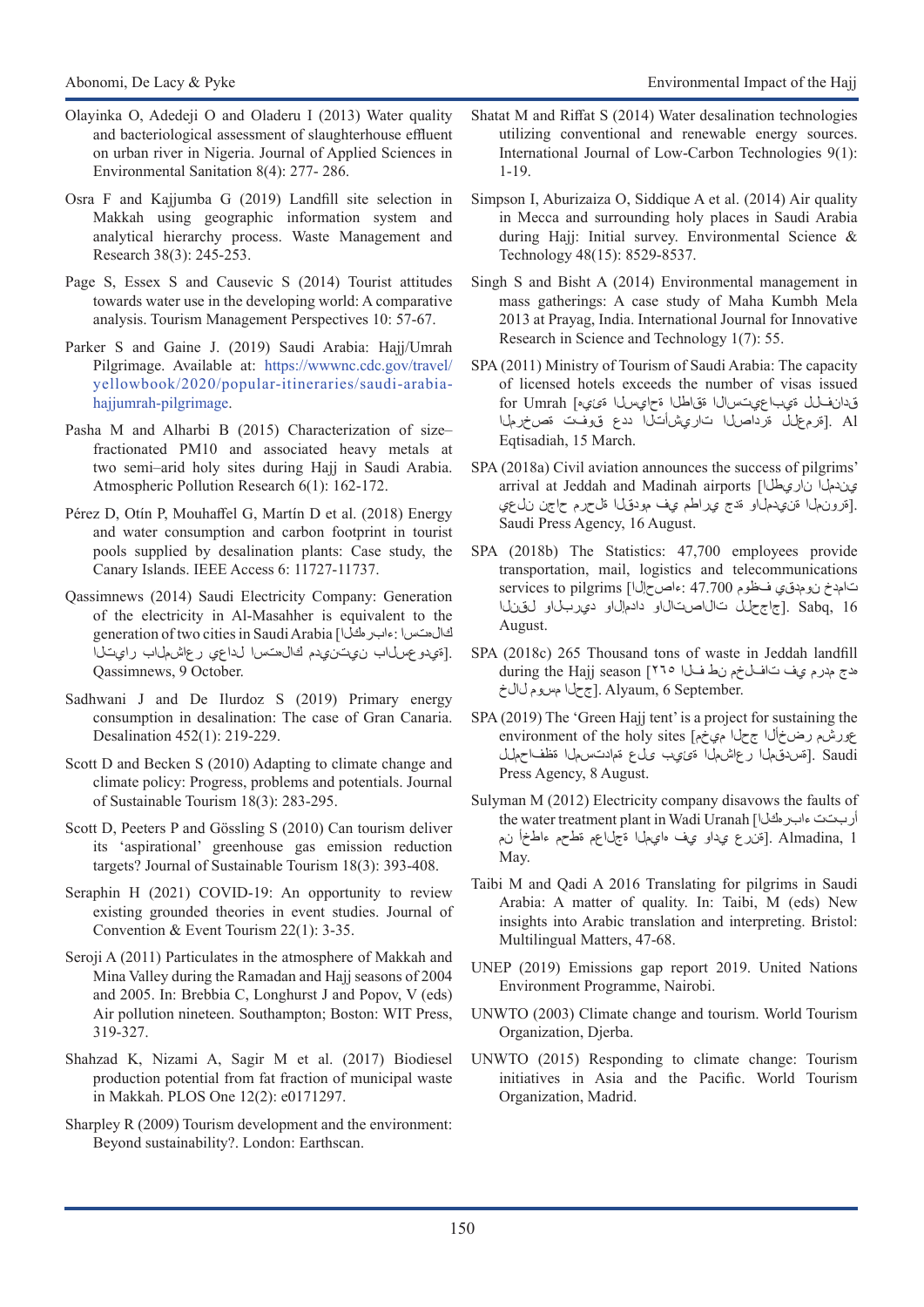- Olayinka O, Adedeji O and Oladeru I (2013) Water quality and bacteriological assessment of slaughterhouse effluent on urban river in Nigeria. Journal of Applied Sciences in Environmental Sanitation 8(4): 277- 286.
- Osra F and Kajjumba G (2019) Landfill site selection in Makkah using geographic information system and analytical hierarchy process. Waste Management and Research 38(3): 245-253.
- Page S, Essex S and Causevic S (2014) Tourist attitudes towards water use in the developing world: A comparative analysis. Tourism Management Perspectives 10: 57-67.
- Parker S and Gaine J. (2019) Saudi Arabia: Hajj/Umrah Pilgrimage. Available at: [https://wwwnc.cdc.gov/travel/](https://wwwnc.cdc.gov/travel/yellowbook/2020/popular-itineraries/saudi-arabia-hajjumrah-pilgrimage) [yellowbook/2020/popular-itineraries/saudi-arabia](https://wwwnc.cdc.gov/travel/yellowbook/2020/popular-itineraries/saudi-arabia-hajjumrah-pilgrimage)[hajjumrah-pilgrimage](https://wwwnc.cdc.gov/travel/yellowbook/2020/popular-itineraries/saudi-arabia-hajjumrah-pilgrimage).
- Pasha M and Alharbi B (2015) Characterization of size– fractionated PM10 and associated heavy metals at two semi–arid holy sites during Hajj in Saudi Arabia. Atmospheric Pollution Research 6(1): 162-172.
- Pérez D, Otín P, Mouhaffel G, Martín D et al. (2018) Energy and water consumption and carbon footprint in tourist pools supplied by desalination plants: Case study, the Canary Islands. IEEE Access 6: 11727-11737.
- Qassimnews (2014) Saudi Electricity Company: Generation of the electricity in Al-Masahher is equivalent to the generation of two cities in Saudi Arabia [ءابرهكلا: كالهتسا .[ةيدوعسلاب نيتنيدم كال متس الداعي رعاش ملاب رايتلا Qassimnews, 9 October.
- Sadhwani J and De Ilurdoz S (2019) Primary energy consumption in desalination: The case of Gran Canaria. Desalination 452(1): 219-229.
- Scott D and Becken S (2010) Adapting to climate change and climate policy: Progress, problems and potentials. Journal of Sustainable Tourism 18(3): 283-295.
- Scott D, Peeters P and Gössling S (2010) Can tourism deliver its 'aspirational' greenhouse gas emission reduction targets? Journal of Sustainable Tourism 18(3): 393-408.
- Seraphin H (2021) COVID-19: An opportunity to review existing grounded theories in event studies. Journal of Convention & Event Tourism 22(1): 3-35.
- Seroji A (2011) Particulates in the atmosphere of Makkah and Mina Valley during the Ramadan and Hajj seasons of 2004 and 2005. In: Brebbia C, Longhurst J and Popov, V (eds) Air pollution nineteen. Southampton; Boston: WIT Press, 319-327.
- Shahzad K, Nizami A, Sagir M et al. (2017) Biodiesel production potential from fat fraction of municipal waste in Makkah. PLOS One 12(2): e0171297.
- Sharpley R (2009) Tourism development and the environment: Beyond sustainability?. London: Earthscan.
- Shatat M and Riffat S (2014) Water desalination technologies utilizing conventional and renewable energy sources. International Journal of Low-Carbon Technologies 9(1): 1-19.
- Simpson I, Aburizaiza O, Siddique A et al. (2014) Air quality in Mecca and surrounding holy places in Saudi Arabia during Hajj: Initial survey. Environmental Science & Technology 48(15): 8529-8537.
- Singh S and Bisht A (2014) Environmental management in mass gatherings: A case study of Maha Kumbh Mela 2013 at Prayag, India. International Journal for Innovative Research in Science and Technology 1(7): 55.
- SPA (2011) Ministry of Tourism of Saudi Arabia: The capacity of licensed hotels exceeds the number of visas issued قدانفلل ةيباعيتسالا ةقاطلا ةحايسلا ةئيه] Umrah for Al .]ةرمعلل ةرداصلا تاريشأتلا ددع قوفت ةصخرملا Eqtisadiah, 15 March.
- SPA (2018a) Civil aviation announces the success of pilgrims' arrival at Jeddah and Madinah airports [ناريطلا يندملا .[قرون|ما ةن ي دمل او قدج ي راطم ي ف مودق ل ا قاحرم حاجن نل عي Saudi Press Agency, 16 August.
- SPA (2018b) The Statistics: 47,700 employees provide transportation, mail, logistics and telecommunications تامدخ نومدقي فظوم 47.700 :ءاصحإلا] pilgrims to services 16 ,Sabq .]جاجحلل تالاصتالاو دادمإلاو ديربلاو لقنلا August.
- SPA (2018c) 265 Thousand tons of waste in Jeddah landfill هدج مدرم يف تافلخم نط فلا ٢٦٥] season Hajj the during .September .] جحل امسوم لال خ
- SPA (2019) The 'Green Hajj tent' is a project for sustaining the environment of the holy sites [ميخم جحلا رضخألا عورشم Saudi .[قسدقمل رعاشمل قى يب ىل عقم ادتسمل ا مظف حمل Press Agency, 8 August.
- Sulyman M (2012) Electricity company disavows the faults of the water treatment plant in Wadi Uranah [ءابرهكلا أربتت 1 ,Almadina .]ةنرع يداو يف هايملا ةجلاعم ةطحم ءاطخأ نم May.
- Taibi M and Qadi A 2016 Translating for pilgrims in Saudi Arabia: A matter of quality. In: Taibi, M (eds) New insights into Arabic translation and interpreting. Bristol: Multilingual Matters, 47-68.
- UNEP (2019) Emissions gap report 2019. United Nations Environment Programme, Nairobi.
- UNWTO (2003) Climate change and tourism. World Tourism Organization, Djerba.
- UNWTO (2015) Responding to climate change: Tourism initiatives in Asia and the Pacific. World Tourism Organization, Madrid.